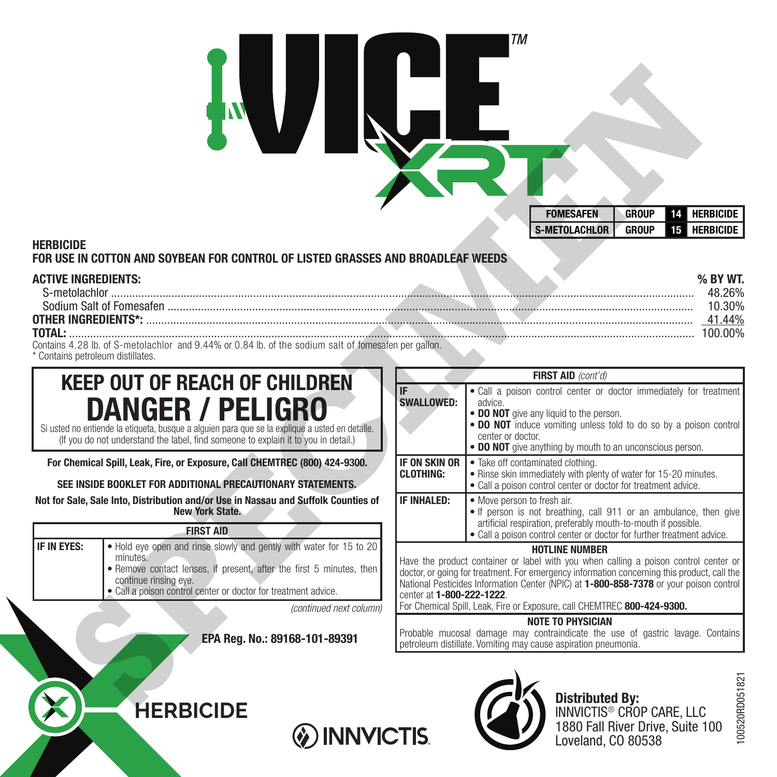| TM |                 |
|----|-----------------|
|    | <b>FOMESAFE</b> |

| <b>FOMESAFEN</b>     | GROUP | ЧÐ. | i herbicide      |
|----------------------|-------|-----|------------------|
| <b>S-METOLACHLOR</b> | GROUP | -15 | <b>HERBICIDE</b> |

#### HERBICIDE

#### FOR USE IN COTTON AND SOYBEAN FOR CONTROL OF LISTED GRASSES AND BROADLEAF WEEDS

| <b>ACTIVE INGREDIENTS:</b>                                                                                                                                                                                                                                       |         |
|------------------------------------------------------------------------------------------------------------------------------------------------------------------------------------------------------------------------------------------------------------------|---------|
|                                                                                                                                                                                                                                                                  | 26%     |
| Sodium Salt of Fomesafen<br><u>and the contract of the contract of the contract of the contract of the contract of the contract of the contract of the contract of the contract of the contract of the contract of the contract of the contract of the contr</u> | 30%     |
| OTHER INGREDIENTS*:                                                                                                                                                                                                                                              | 44%     |
| <b>TOTA</b>                                                                                                                                                                                                                                                      | $.00\%$ |

Contains 4.28 lb. of S-metolachlor and 9.44% or 0.84 lb. of the sodium salt of fomesafen per gallon. \* Contains petroleum distillates.

# KEEP OUT OF REACH OF CHILDREN DANGER / PELIGRO

Si usted no entiende la etiqueta, busque a alguien para que se la explique a usted en detalle. (If you do not understand the label, find someone to explain it to you in detail.)

For Chemical Spill, Leak, Fire, or Exposure, Call CHEMTREC (800) 424-9300.

#### SEE INSIDE BOOKLET FOR ADDITIONAL PRECAUTIONARY STATEMENTS.

Not for Sale, Sale Into, Distribution and/or Use in Nassau and Suffolk Counties of New York State.

#### FIRST AID

| <b>IF IN EYES:</b> | • Hold eye open and rinse slowly and gently with water for 15 to 20<br>minutes.<br>• Remove contact lenses, if present, after the first 5 minutes, then<br>continue rinsing eve.<br>. Call a poison control center or doctor for treatment advice. |
|--------------------|----------------------------------------------------------------------------------------------------------------------------------------------------------------------------------------------------------------------------------------------------|
|--------------------|----------------------------------------------------------------------------------------------------------------------------------------------------------------------------------------------------------------------------------------------------|

|                           |                                                                                                                                                                                                                                                                   |                                          | <b>FOMESAFEN</b><br><b>GROUP</b><br><b>HERBICIDE</b><br>14                                                                                                                                                                                                                                                                                                                        |
|---------------------------|-------------------------------------------------------------------------------------------------------------------------------------------------------------------------------------------------------------------------------------------------------------------|------------------------------------------|-----------------------------------------------------------------------------------------------------------------------------------------------------------------------------------------------------------------------------------------------------------------------------------------------------------------------------------------------------------------------------------|
| CIDE.                     | SE IN COTTON AND SOYBEAN FOR CONTROL OF LISTED GRASSES AND BROADLEAF WEEDS                                                                                                                                                                                        |                                          | HERBICIDE<br><b>S-METOLACHLOR</b><br><b>GROUP</b><br>15                                                                                                                                                                                                                                                                                                                           |
| <b>INGREDIENTS:</b>       |                                                                                                                                                                                                                                                                   |                                          | % BY WT.<br>48.26%                                                                                                                                                                                                                                                                                                                                                                |
| as petroleum distillates. | 4.28 lb, of S-metolachlor and 9.44% or 0.84 lb, of the sodium salt of fomesafen per gallon.                                                                                                                                                                       |                                          |                                                                                                                                                                                                                                                                                                                                                                                   |
|                           | Keep out of reach of Childr <b>e</b> n<br><b>DANGER / PELIGRO</b><br>d no entiende la etiqueta, busque a alquien para que se la explique a usted en detalle.<br>you do not understand the label, find someone to explain it to you in detail.)                    | IF<br><b>SWALLOWED:</b>                  | FIRST AID (cont'd)<br>. Call a poison control center or doctor immediately for treatment<br>advice.<br>. DO NOT give any liquid to the person.<br>. DO NOT induce vomiting unless told to do so by a poison control<br>center or doctor.<br>. DO NOT give anything by mouth to an unconscious person.                                                                             |
|                           | Chemical Spill, Leak, Fire, or Exposure, Call CHEMTREC (800) 424-9300.<br>E INSIDE BOOKLET FOR ADDITIONAL PRECAUTIONARY STATEMENTS.                                                                                                                               | <b>IF ON SKIN OR</b><br><b>CLOTHING:</b> | • Take off contaminated clothing.<br>. Rinse skin immediately with plenty of water for 15-20 minutes.<br>. Call a poison control center or doctor for treatment advice.                                                                                                                                                                                                           |
|                           | Sale, Sale Into, Distribution and/or Use in Nassau and Suffolk Counties of<br><b>New York State.</b><br><b>FIRST AID</b>                                                                                                                                          | <b>IF INHALED:</b>                       | • Move person to fresh air.<br>. If person is not breathing, call 911 or an ambulance, then give<br>artificial respiration, preferably mouth-to-mouth if possible.<br>• Call a poison control center or doctor for further treatment advice.                                                                                                                                      |
| YES:<br>minutes.          | . Hold eye open and rinse slowly and gently with water for 15 to 20<br>· Remove contact lenses, if present, after the first 5 minutes, then<br>continue rinsing eye.<br>. Call a poison control center or doctor for treatment advice.<br>(continued next column) | center at 1-800-222-1222.                | <b>HOTLINE NUMBER</b><br>Have the product container or label with you when calling a poison control center or<br>doctor, or going for treatment. For emergency information concerning this product, call the<br>National Pesticides Information Center (NPIC) at 1-800-858-7378 or your poison control<br>For Chemical Spill, Leak, Fire or Exposure, call CHEMTREC 800-424-9300. |
|                           | EPA Reg. No.: 89168-101-89391                                                                                                                                                                                                                                     |                                          | <b>NOTE TO PHYSICIAN</b><br>Probable mucosal damage may contraindicate the use of gastric lavage. Contains<br>petroleum distillate. Vomiting may cause aspiration pneumonia.                                                                                                                                                                                                      |
|                           | UEDDIAINE                                                                                                                                                                                                                                                         |                                          | D05182<br><b>Distributed By:</b><br>0.0105110                                                                                                                                                                                                                                                                                                                                     |

# **HERBICIDE**





Distributed By: INNVICTIS® CROP CARE, LLC 1880 Fall River Drive, Suite 100 Loveland, CO 80538

00520RD051821 100520RD051821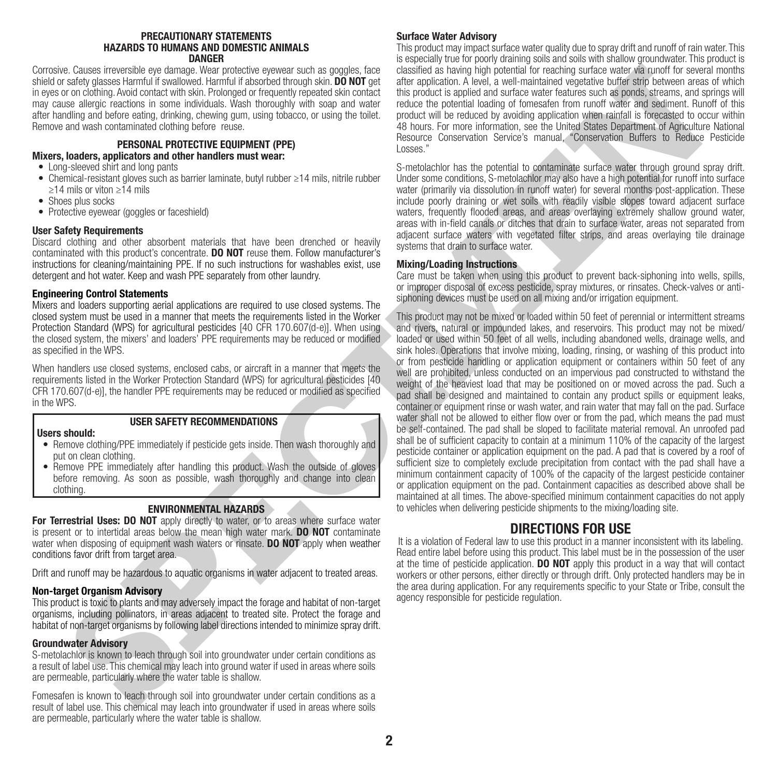#### PRECAUTIONARY STATEMENTS HAZARDS TO HUMANS AND DOMESTIC ANIMALS **DANGER**

Corrosive. Causes irreversible eye damage. Wear protective eyewear such as goggles, face shield or safety glasses Harmful if swallowed. Harmful if absorbed through skin. DO NOT get in eyes or on clothing. Avoid contact with skin. Prolonged or frequently repeated skin contact may cause allergic reactions in some individuals. Wash thoroughly with soap and water after handling and before eating, drinking, chewing gum, using tobacco, or using the toilet. Remove and wash contaminated clothing before reuse.

#### PERSONAL PROTECTIVE EQUIPMENT (PPE) Mixers, loaders, applicators and other handlers must wear:

- Long-sleeved shirt and long pants
- Chemical-resistant gloves such as barrier laminate, butyl rubber ≥14 mils, nitrile rubber ≥14 mils or viton ≥14 mils
- Shoes plus socks
- Protective eyewear (goggles or faceshield)

#### User Safety Requirements

Discard clothing and other absorbent materials that have been drenched or heavily contaminated with this product's concentrate. DO NOT reuse them. Follow manufacturer's instructions for cleaning/maintaining PPE. If no such instructions for washables exist, use detergent and hot water. Keep and wash PPE separately from other laundry.

#### Engineering Control Statements

Mixers and loaders supporting aerial applications are required to use closed systems. The closed system must be used in a manner that meets the requirements listed in the Worker Protection Standard (WPS) for agricultural pesticides [40 CFR 170.607(d-e)]. When using the closed system, the mixers' and loaders' PPE requirements may be reduced or modified as specified in the WPS.

When handlers use closed systems, enclosed cabs, or aircraft in a manner that meets the requirements listed in the Worker Protection Standard (WPS) for agricultural pesticides [40 CFR 170.607(d-e)], the handler PPE requirements may be reduced or modified as specified in the WPS.

#### USER SAFETY RECOMMENDATIONS

#### Users should:

- Remove clothing/PPE immediately if pesticide gets inside. Then wash thoroughly and put on clean clothing.
- Remove PPE immediately after handling this product. Wash the outside of gloves before removing. As soon as possible, wash thoroughly and change into clean clothing.

#### ENVIRONMENTAL HAZARDS

For Terrestrial Uses: DO NOT apply directly to water, or to areas where surface water is present or to intertidal areas below the mean high water mark. **DO NOT** contaminate water when disposing of equipment wash waters or rinsate. **DO NOT** apply when weather conditions favor drift from target area.

Drift and runoff may be hazardous to aquatic organisms in water adjacent to treated areas.

#### Non-target Organism Advisory

This product is toxic to plants and may adversely impact the forage and habitat of non-target organisms, including pollinators, in areas adjacent to treated site. Protect the forage and habitat of non-target organisms by following label directions intended to minimize spray drift.

#### Groundwater Advisory

S-metolachlor is known to leach through soil into groundwater under certain conditions as a result of label use. This chemical may leach into ground water if used in areas where soils are permeable, particularly where the water table is shallow.

Fomesafen is known to leach through soil into groundwater under certain conditions as a result of label use. This chemical may leach into groundwater if used in areas where soils are permeable, particularly where the water table is shallow.

#### Surface Water Advisory

This product may impact surface water quality due to spray drift and runoff of rain water. This is especially true for poorly draining soils and soils with shallow groundwater. This product is classified as having high potential for reaching surface water via runoff for several months after application. A level, a well-maintained vegetative buffer strip between areas of which this product is applied and surface water features such as ponds, streams, and springs will reduce the potential loading of fomesafen from runoff water and sediment. Runoff of this product will be reduced by avoiding application when rainfall is forecasted to occur within 48 hours. For more information, see the United States Department of Agriculture National Resource Conservation Service's manual, "Conservation Buffers to Reduce Pesticide Losses."

S-metolachlor has the potential to contaminate surface water through ground spray drift. Under some conditions, S-metolachlor may also have a high potential for runoff into surface water (primarily via dissolution in runoff water) for several months post-application. These include poorly draining or wet soils with readily visible slopes toward adjacent surface waters, frequently flooded areas, and areas overlaying extremely shallow ground water, areas with in-field canals or ditches that drain to surface water, areas not separated from adjacent surface waters with vegetated filter strips, and areas overlaying tile drainage systems that drain to surface water.

#### Mixing/Loading Instructions

Care must be taken when using this product to prevent back-siphoning into wells, spills, or improper disposal of excess pesticide, spray mixtures, or rinsates. Check-valves or antisiphoning devices must be used on all mixing and/or irrigation equipment.

This product may not be mixed or loaded within 50 feet of perennial or intermittent streams and rivers, natural or impounded lakes, and reservoirs. This product may not be mixed/ loaded or used within 50 feet of all wells, including abandoned wells, drainage wells, and sink holes. Operations that involve mixing, loading, rinsing, or washing of this product into or from pesticide handling or application equipment or containers within 50 feet of any well are prohibited, unless conducted on an impervious pad constructed to withstand the weight of the heaviest load that may be positioned on or moved across the pad. Such a pad shall be designed and maintained to contain any product spills or equipment leaks. container or equipment rinse or wash water, and rain water that may fall on the pad. Surface water shall not be allowed to either flow over or from the pad, which means the pad must be self-contained. The pad shall be sloped to facilitate material removal. An unroofed pad shall be of sufficient capacity to contain at a minimum 110% of the capacity of the largest pesticide container or application equipment on the pad. A pad that is covered by a roof of sufficient size to completely exclude precipitation from contact with the pad shall have a minimum containment capacity of 100% of the capacity of the largest pesticide container or application equipment on the pad. Containment capacities as described above shall be maintained at all times. The above-specified minimum containment capacities do not apply to vehicles when delivering pesticide shipments to the mixing/loading site. Countries the distribution of the specific original state is the specific original to the specific original state is a specific original to the specific original to the specific original to the specific original to the spe

#### DIRECTIONS FOR USE

It is a violation of Federal law to use this product in a manner inconsistent with its labeling. Read entire label before using this product. This label must be in the possession of the user at the time of pesticide application. **DO NOT** apply this product in a way that will contact workers or other persons, either directly or through drift. Only protected handlers may be in the area during application. For any requirements specific to your State or Tribe, consult the agency responsible for pesticide regulation.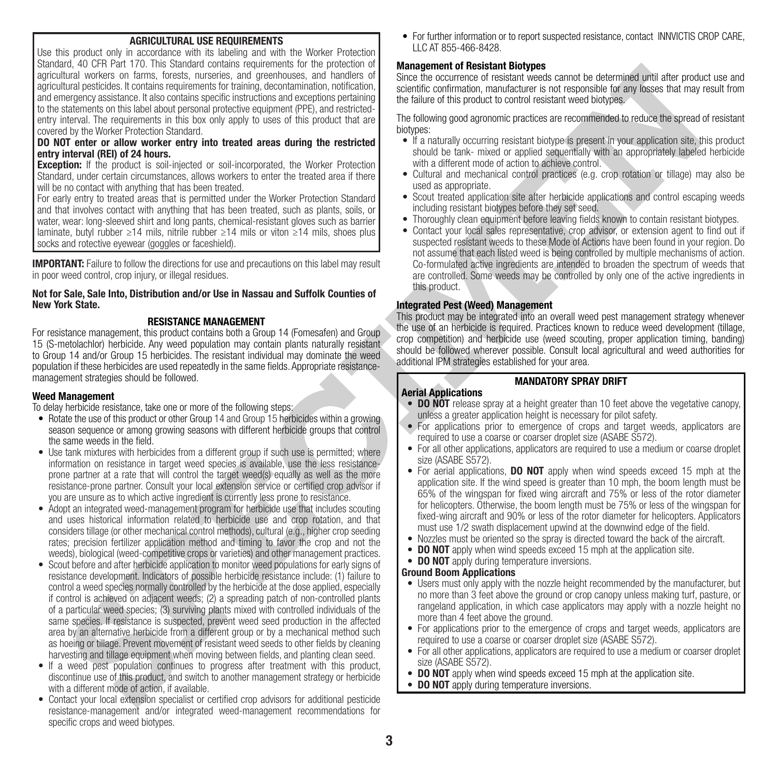#### AGRICULTURAL USE REQUIREMENTS

Use this product only in accordance with its labeling and with the Worker Protection Standard, 40 CFR Part 170. This Standard contains requirements for the protection of agricultural workers on farms, forests, nurseries, and greenhouses, and handlers of agricultural pesticides. It contains requirements for training, decontamination, notification, and emergency assistance. It also contains specific instructions and exceptions pertaining to the statements on this label about personal protective equipment (PPE), and restrictedentry interval. The requirements in this box only apply to uses of this product that are covered by the Worker Protection Standard.

#### DO NOT enter or allow worker entry into treated areas during the restricted entry interval (REI) of 24 hours.

**Exception:** If the product is soil-injected or soil-incorporated, the Worker Protection Standard, under certain circumstances, allows workers to enter the treated area if there will be no contact with anything that has been treated.

For early entry to treated areas that is permitted under the Worker Protection Standard and that involves contact with anything that has been treated, such as plants, soils, or water, wear: long-sleeved shirt and long pants, chemical-resistant gloves such as barrier laminate, butyl rubber ≥14 mils, nitrile rubber ≥14 mils or viton ≥14 mils, shoes plus socks and rotective eyewear (goggles or faceshield).

**IMPORTANT:** Failure to follow the directions for use and precautions on this label may result in poor weed control, crop injury, or illegal residues.

#### Not for Sale, Sale Into, Distribution and/or Use in Nassau and Suffolk Counties of New York State.

#### RESISTANCE MANAGEMENT

For resistance management, this product contains both a Group 14 (Fomesafen) and Group 15 (S-metolachlor) herbicide. Any weed population may contain plants naturally resistant to Group 14 and/or Group 15 herbicides. The resistant individual may dominate the weed population if these herbicides are used repeatedly in the same fields. Appropriate resistancemanagement strategies should be followed.

#### Weed Management

To delay herbicide resistance, take one or more of the following steps:

- Rotate the use of this product or other Group 14 and Group 15 herbicides within a growing season sequence or among growing seasons with different herbicide groups that control the same weeds in the field.
- Use tank mixtures with herbicides from a different group if such use is permitted; where information on resistance in target weed species is available, use the less resistanceprone partner at a rate that will control the target weed(s) equally as well as the more resistance-prone partner. Consult your local extension service or certified crop advisor if you are unsure as to which active ingredient is currently less prone to resistance.
- Adopt an integrated weed-management program for herbicide use that includes scouting and uses historical information related to herbicide use and crop rotation, and that considers tillage (or other mechanical control methods), cultural (e.g., higher crop seeding rates; precision fertilizer application method and timing to favor the crop and not the weeds), biological (weed-competitive crops or varieties) and other management practices.
- Scout before and after herbicide application to monitor weed populations for early signs of resistance development. Indicators of possible herbicide resistance include: (1) failure to control a weed species normally controlled by the herbicide at the dose applied, especially if control is achieved on adjacent weeds; (2) a spreading patch of non-controlled plants of a particular weed species; (3) surviving plants mixed with controlled individuals of the same species. If resistance is suspected, prevent weed seed production in the affected area by an alternative herbicide from a different group or by a mechanical method such as hoeing or tillage. Prevent movement of resistant weed seeds to other fields by cleaning harvesting and tillage equipment when moving between fields, and planting clean seed. The state of the state and the state and the state and the state and the state and the state and the state and the state and the state and the state and the state and the state and the state and the state and the state and
- If a weed pest population continues to progress after treatment with this product, discontinue use of this product, and switch to another management strategy or herbicide with a different mode of action, if available.
- Contact your local extension specialist or certified crop advisors for additional pesticide resistance-management and/or integrated weed-management recommendations for specific crops and weed biotypes.

• For further information or to report suspected resistance, contact INNVICTIS CROP CARE, LLC AT 855-466-8428.

#### Management of Resistant Biotypes

Since the occurrence of resistant weeds cannot be determined until after product use and scientific confirmation, manufacturer is not responsible for any losses that may result from the failure of this product to control resistant weed biotypes.

The following good agronomic practices are recommended to reduce the spread of resistant biotypes:

- If a naturally occurring resistant biotype is present in your application site, this product should be tank- mixed or applied sequentially with an appropriately labeled herbicide with a different mode of action to achieve control.
- Cultural and mechanical control practices (e.g. crop rotation or tillage) may also be used as appropriate.
- Scout treated application site after herbicide applications and control escaping weeds including resistant biotypes before they set seed.
- Thoroughly clean equipment before leaving fields known to contain resistant biotypes.
- Contact your local sales representative, crop advisor, or extension agent to find out if suspected resistant weeds to these Mode of Actions have been found in your region. Do not assume that each listed weed is being controlled by multiple mechanisms of action. Co-formulated active ingredients are intended to broaden the spectrum of weeds that are controlled. Some weeds may be controlled by only one of the active ingredients in this product.

#### Integrated Pest (Weed) Management

This product may be integrated into an overall weed pest management strategy whenever the use of an herbicide is required. Practices known to reduce weed development (tillage, crop competition) and herbicide use (weed scouting, proper application timing, banding) should be followed wherever possible. Consult local agricultural and weed authorities for additional IPM strategies established for your area.

#### MANDATORY SPRAY DRIFT

#### Aerial Applications

- **DO NOT** release spray at a height greater than 10 feet above the vegetative canopy, unless a greater application height is necessary for pilot safety.
- For applications prior to emergence of crops and target weeds, applicators are required to use a coarse or coarser droplet size (ASABE S572).
- For all other applications, applicators are required to use a medium or coarse droplet size (ASABE S572).
- For aerial applications, **DO NOT** apply when wind speeds exceed 15 mph at the application site. If the wind speed is greater than 10 mph, the boom length must be 65% of the wingspan for fixed wing aircraft and 75% or less of the rotor diameter for helicopters. Otherwise, the boom length must be 75% or less of the wingspan for fixed-wing aircraft and 90% or less of the rotor diameter for helicopters. Applicators must use 1/2 swath displacement upwind at the downwind edge of the field.
- Nozzles must be oriented so the spray is directed toward the back of the aircraft.
- DO NOT apply when wind speeds exceed 15 mph at the application site.
- DO NOT apply during temperature inversions.

#### Ground Boom Applications

- Users must only apply with the nozzle height recommended by the manufacturer, but no more than 3 feet above the ground or crop canopy unless making turf, pasture, or rangeland application, in which case applicators may apply with a nozzle height no more than 4 feet above the ground.
- For applications prior to the emergence of crops and target weeds, applicators are required to use a coarse or coarser droplet size (ASABE S572).
- For all other applications, applicators are required to use a medium or coarser droplet size (ASABE S572).
- **DO NOT** apply when wind speeds exceed 15 mph at the application site.
- **DO NOT** apply during temperature inversions.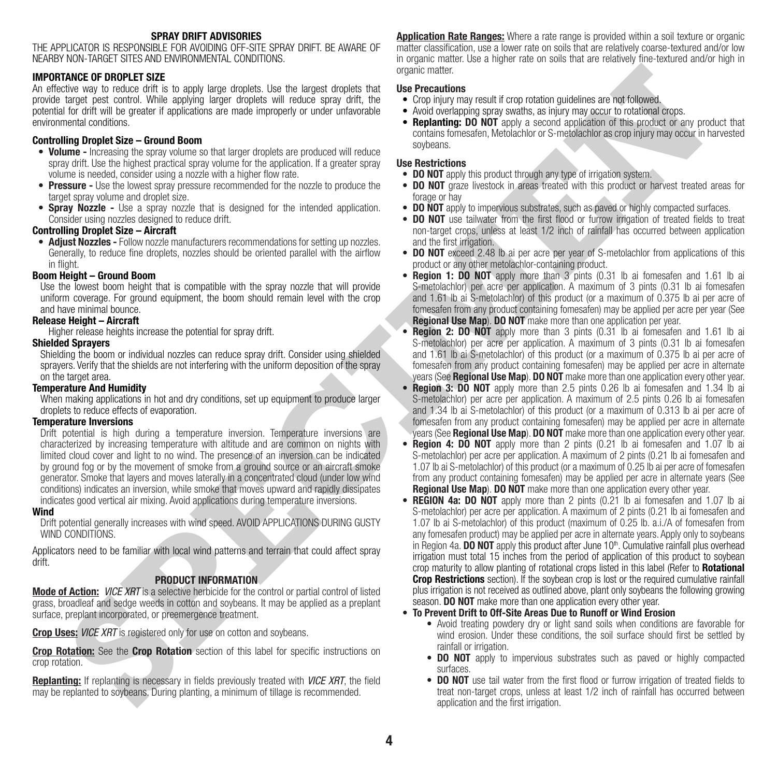#### SPRAY DRIFT ADVISORIES

THE APPLICATOR IS RESPONSIBLE FOR AVOIDING OFF-SITE SPRAY DRIFT. BE AWARE OF NEARBY NON-TARGET SITES AND ENVIRONMENTAL CONDITIONS.

#### IMPORTANCE OF DROPLET SIZE

An effective way to reduce drift is to apply large droplets. Use the largest droplets that provide target pest control. While applying larger droplets will reduce spray drift, the potential for drift will be greater if applications are made improperly or under unfavorable environmental conditions.

#### Controlling Droplet Size – Ground Boom

- Volume Increasing the spray volume so that larger droplets are produced will reduce spray drift. Use the highest practical spray volume for the application. If a greater spray volume is needed, consider using a nozzle with a higher flow rate.
- Pressure Use the lowest spray pressure recommended for the nozzle to produce the target spray volume and droplet size.
- **Spray Nozzle** Use a spray nozzle that is designed for the intended application. Consider using nozzles designed to reduce drift.

#### Controlling Droplet Size – Aircraft

• Adjust Nozzles - Follow nozzle manufacturers recommendations for setting up nozzles. Generally, to reduce fine droplets, nozzles should be oriented parallel with the airflow in flight.

#### Boom Height – Ground Boom

Use the lowest boom height that is compatible with the spray nozzle that will provide uniform coverage. For ground equipment, the boom should remain level with the crop and have minimal bounce.

#### Release Height – Aircraft

Higher release heights increase the potential for spray drift.

#### Shielded Sprayers

Shielding the boom or individual nozzles can reduce spray drift. Consider using shielded sprayers. Verify that the shields are not interfering with the uniform deposition of the spray on the target area.

#### Temperature And Humidity

When making applications in hot and dry conditions, set up equipment to produce larger droplets to reduce effects of evaporation.

#### Temperature Inversions

Drift potential is high during a temperature inversion. Temperature inversions are characterized by increasing temperature with altitude and are common on nights with limited cloud cover and light to no wind. The presence of an inversion can be indicated by ground fog or by the movement of smoke from a ground source or an aircraft smoke generator. Smoke that layers and moves laterally in a concentrated cloud (under low wind conditions) indicates an inversion, while smoke that moves upward and rapidly dissipates indicates good vertical air mixing. Avoid applications during temperature inversions.

#### Wind

Drift potential generally increases with wind speed. AVOID APPLICATIONS DURING GUSTY WIND CONDITIONS

Applicators need to be familiar with local wind patterns and terrain that could affect spray drift.

#### PRODUCT INFORMATION

Mode of Action: *VICE XRT* is a selective herbicide for the control or partial control of listed grass, broadleaf and sedge weeds in cotton and soybeans. It may be applied as a preplant surface, preplant incorporated, or preemergence treatment.

**Crop Uses:** *VICE XRT* is registered only for use on cotton and soybeans.

Crop Rotation: See the Crop Rotation section of this label for specific instructions on crop rotation.

Replanting: If replanting is necessary in fields previously treated with *VICE XRT*, the field may be replanted to soybeans. During planting, a minimum of tillage is recommended.

Application Rate Ranges: Where a rate range is provided within a soil texture or organic matter classification, use a lower rate on soils that are relatively coarse-textured and/or low in organic matter. Use a higher rate on soils that are relatively fine-textured and/or high in organic matter.

#### Use Precautions

- Crop injury may result if crop rotation guidelines are not followed.
- Avoid overlapping spray swaths, as injury may occur to rotational crops.
- Replanting: DO NOT apply a second application of this product or any product that contains fomesafen, Metolachlor or S-metolachlor as crop injury may occur in harvested soybeans.

#### Use Restrictions

- DO NOT apply this product through any type of irrigation system.
- DO NOT graze livestock in areas treated with this product or harvest treated areas for forage or hay
- DO NOT apply to impervious substrates, such as payed or highly compacted surfaces.
- DO NOT use tailwater from the first flood or furrow irrigation of treated fields to treat non-target crops, unless at least 1/2 inch of rainfall has occurred between application and the first inrigation.
- **DO NOT** exceed 2.48 lb ai per acre per year of S-metolachlor from applications of this product or any other metolachlor-containing product.
- Region 1: DO NOT apply more than 3 pints (0.31 lb ai fomesafen and 1.61 lb ai S-metolachlor) per acre per application. A maximum of 3 pints (0.31 lb ai fomesafen and 1.61 lb ai S-metolachlor) of this product (or a maximum of 0.375 lb ai per acre of fomesafen from any product containing fomesafen) may be applied per acre per year (See Regional Use Map). DO NOT make more than one application per year.
- Region 2: DO NOT apply more than 3 pints (0.31 lb ai fomesafen and 1.61 lb ai S-metolachlor) per acre per application. A maximum of 3 pints (0.31 lb ai fomesafen and 1.61 lb ai S-metolachlor) of this product (or a maximum of 0.375 lb ai per acre of fomesafen from any product containing fomesafen) may be applied per acre in alternate years (See Regional Use Map). DO NOT make more than one application every other year.
- **Region 3: DO NOT** apply more than 2.5 pints 0.26 lb ai fomesafen and 1.34 lb ai S-metolachlor) per acre per application. A maximum of 2.5 pints 0.26 lb ai fomesafen and 1.34 lb ai S-metolachlor) of this product (or a maximum of 0.313 lb ai per acre of fomesafen from any product containing fomesafen) may be applied per acre in alternate years (See Regional Use Map). DO NOT make more than one application every other year.
- Region 4: DO NOT apply more than 2 pints (0.21 lb ai fomesafen and 1.07 lb ai S-metolachlor) per acre per application. A maximum of 2 pints (0.21 lb ai fomesafen and 1.07 lb ai S-metolachlor) of this product (or a maximum of 0.25 lb ai per acre of fomesafen from any product containing fomesafen) may be applied per acre in alternate years (See Regional Use Map). DO NOT make more than one application every other year.
- REGION 4a: DO NOT apply more than 2 pints (0.21 lb ai fomesafen and 1.07 lb ai S-metolachlor) per acre per application. A maximum of 2 pints (0.21 lb ai fomesafen and 1.07 lb ai S-metolachlor) of this product (maximum of 0.25 lb. a.i./A of fomesafen from any fomesafen product) may be applied per acre in alternate years. Apply only to soybeans in Region 4a. DO NOT apply this product after June  $10<sup>th</sup>$ . Cumulative rainfall plus overhead irrigation must total 15 inches from the period of application of this product to soybean crop maturity to allow planting of rotational crops listed in this label (Refer to Rotational **Crop Restrictions** section). If the sovbean crop is lost or the required cumulative rainfall plus irrigation is not received as outlined above, plant only soybeans the following growing season. **DO NOT** make more than one application every other year. **ARE CONSEIGNATION** and the specific state in the specific state in the specific state in the specific state in the specific state in the specific state in the specific state is a specific state in the specific state is a
	- To Prevent Drift to Off-Site Areas Due to Runoff or Wind Erosion
		- Avoid treating powdery dry or light sand soils when conditions are favorable for wind erosion. Under these conditions, the soil surface should first be settled by rainfall or irrigation
		- DO NOT apply to impervious substrates such as paved or highly compacted surfaces.
		- DO NOT use tail water from the first flood or furrow irrigation of treated fields to treat non-target crops, unless at least 1/2 inch of rainfall has occurred between application and the first irrigation.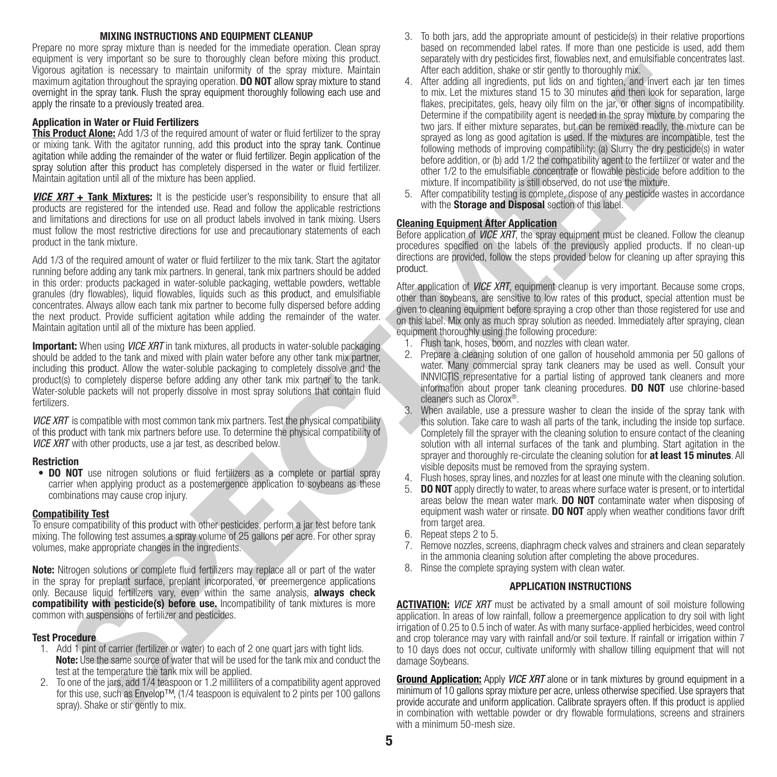#### MIXING INSTRUCTIONS AND EQUIPMENT CLEANUP

Prepare no more spray mixture than is needed for the immediate operation. Clean spray equipment is very important so be sure to thoroughly clean before mixing this product. Vigorous agitation is necessary to maintain uniformity of the spray mixture. Maintain maximum agitation throughout the spraying operation. **DO NOT** allow spray mixture to stand overnight in the spray tank. Flush the spray equipment thoroughly following each use and apply the rinsate to a previously treated area.

#### Application in Water or Fluid Fertilizers

**This Product Alone:** Add 1/3 of the required amount of water or fluid fertilizer to the spray or mixing tank. With the agitator running, add this product into the spray tank. Continue agitation while adding the remainder of the water or fluid fertilizer. Begin application of the spray solution after this product has completely dispersed in the water or fluid fertilizer. Maintain agitation until all of the mixture has been applied.

*VICE XRT* + Tank Mixtures: It is the pesticide user's responsibility to ensure that all products are registered for the intended use. Read and follow the applicable restrictions and limitations and directions for use on all product labels involved in tank mixing. Users must follow the most restrictive directions for use and precautionary statements of each product in the tank mixture.

Add 1/3 of the required amount of water or fluid fertilizer to the mix tank. Start the agitator running before adding any tank mix partners. In general, tank mix partners should be added in this order: products packaged in water-soluble packaging, wettable powders, wettable granules (dry flowables), liquid flowables, liquids such as this product, and emulsifiable concentrates. Always allow each tank mix partner to become fully dispersed before adding the next product. Provide sufficient agitation while adding the remainder of the water. Maintain agitation until all of the mixture has been applied.

**Important:** When using *VICE XRT* in tank mixtures, all products in water-soluble packaging should be added to the tank and mixed with plain water before any other tank mix partner, including this product. Allow the water-soluble packaging to completely dissolve and the product(s) to completely disperse before adding any other tank mix partner to the tank. Water-soluble packets will not properly dissolve in most spray solutions that contain fluid fertilizers.

*VICE XRT* is compatible with most common tank mix partners. Test the physical compatibility of this product with tank mix partners before use. To determine the physical compatibility of *VICE XRT* with other products, use a jar test, as described below.

#### Restriction

• DO NOT use nitrogen solutions or fluid fertilizers as a complete or partial spray carrier when applying product as a postemergence application to soybeans as these combinations may cause crop injury.

#### Compatibility Test

To ensure compatibility of this product with other pesticides, perform a jar test before tank mixing. The following test assumes a spray volume of 25 gallons per acre. For other spray volumes, make appropriate changes in the ingredients.

Note: Nitrogen solutions or complete fluid fertilizers may replace all or part of the water in the spray for preplant surface, preplant incorporated, or preemergence applications only. Because liquid fertilizers vary, even within the same analysis, **always check** compatibility with pesticide(s) before use. Incompatibility of tank mixtures is more common with suspensions of fertilizer and pesticides.

#### Test Procedure

- 1. Add 1 pint of carrier (fertilizer or water) to each of 2 one quart jars with tight lids. Note: Use the same source of water that will be used for the tank mix and conduct the test at the temperature the tank mix will be applied.
- 2. To one of the jars, add 1/4 teaspoon or 1.2 milliliters of a compatibility agent approved for this use, such as Envelop™, (1/4 teaspoon is equivalent to 2 pints per 100 gallons spray). Shake or stir gently to mix.
- 3. To both jars, add the appropriate amount of pesticide(s) in their relative proportions based on recommended label rates. If more than one pesticide is used, add them separately with dry pesticides first, flowables next, and emulsifiable concentrates last. After each addition, shake or stir gently to thoroughly mix.
- 4. After adding all ingredients, put lids on and tighten, and invert each jar ten times to mix. Let the mixtures stand 15 to 30 minutes and then look for separation, large flakes, precipitates, gels, heavy oily film on the jar, or other signs of incompatibility. Determine if the compatibility agent is needed in the spray mixture by comparing the two jars. If either mixture separates, but can be remixed readily, the mixture can be sprayed as long as good agitation is used. If the mixtures are incompatible, test the following methods of improving compatibility: (a) Slurry the dry pesticide(s) in water before addition, or (b) add 1/2 the compatibility agent to the fertilizer or water and the other 1/2 to the emulsifiable concentrate or flowable pesticide before addition to the mixture. If incompatibility is still observed, do not use the mixture. spherix of the spherix of the spherix of the spherix of the spherix of spherix of spherix of the spherix of the spherix of the spherix of the spherix of the spherix of the spherix of the spherix of the spherix of the sphe
	- 5. After compatibility testing is complete, dispose of any pesticide wastes in accordance with the **Storage and Disposal** section of this label.

#### Cleaning Equipment After Application

Before application of *VICE XRT*, the spray equipment must be cleaned. Follow the cleanup procedures specified on the labels of the previously applied products. If no clean-up directions are provided, follow the steps provided below for cleaning up after spraying this product.

After application of *VICE XRT*, equipment cleanup is very important. Because some crops, other than soybeans, are sensitive to low rates of this product, special attention must be given to cleaning equipment before spraying a crop other than those registered for use and on this label. Mix only as much spray solution as needed. Immediately after spraying, clean equipment thoroughly using the following procedure:

- 1. Flush tank, hoses, boom, and nozzles with clean water.
- 2. Prepare a cleaning solution of one gallon of household ammonia per 50 gallons of water. Many commercial spray tank cleaners may be used as well. Consult your INNVICTIS representative for a partial listing of approved tank cleaners and more information about proper tank cleaning procedures. DO NOT use chlorine-based cleaners such as Clorox®.
- 3. When available, use a pressure washer to clean the inside of the spray tank with this solution. Take care to wash all parts of the tank, including the inside top surface. Completely fill the sprayer with the cleaning solution to ensure contact of the cleaning solution with all internal surfaces of the tank and plumbing. Start agitation in the sprayer and thoroughly re-circulate the cleaning solution for at least 15 minutes. All visible deposits must be removed from the spraying system.
- 4. Flush hoses, spray lines, and nozzles for at least one minute with the cleaning solution.
- 5. DO NOT apply directly to water, to areas where surface water is present, or to intertidal areas below the mean water mark. DO NOT contaminate water when disposing of equipment wash water or rinsate. **DO NOT** apply when weather conditions favor drift from target area.
- 6. Repeat steps 2 to 5.
- 7. Remove nozzles, screens, diaphragm check valves and strainers and clean separately in the ammonia cleaning solution after completing the above procedures.
- 8. Rinse the complete spraying system with clean water.

#### APPLICATION INSTRUCTIONS

ACTIVATION: VICE XRT must be activated by a small amount of soil moisture following application. In areas of low rainfall, follow a preemergence application to dry soil with light irrigation of 0.25 to 0.5 inch of water. As with many surface-applied herbicides, weed control and crop tolerance may vary with rainfall and/or soil texture. If rainfall or irrigation within 7 to 10 days does not occur, cultivate uniformly with shallow tilling equipment that will not damage Soybeans.

**Ground Application:** Apply *VICE XRT* alone or in tank mixtures by ground equipment in a minimum of 10 gallons spray mixture per acre, unless otherwise specified. Use sprayers that provide accurate and uniform application. Calibrate sprayers often. If this product is applied in combination with wettable powder or dry flowable formulations, screens and strainers with a minimum 50-mesh size.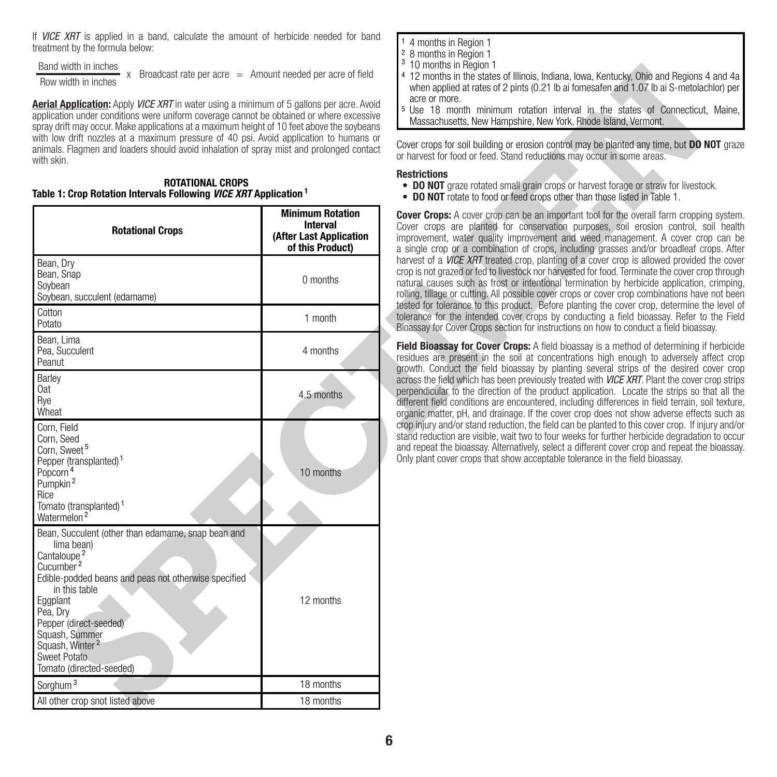If *VICE XRT* is applied in a band, calculate the amount of herbicide needed for band treatment by the formula below:

 $B$ and width in inches  $x$  Broadcast rate per acre  $=$  Amount needed per acre of field

#### ROTATIONAL CROPS Table 1: Crop Rotation Intervals Following *VICE XRT* Application <sup>1</sup>

| Band width in inches<br>$x$ Broadcast rate per acre = Amount needed per acre of field<br>Row width in inches<br><b>Aerial Application:</b> Apply <i>VICE XRT</i> in water using a minimum of 5 gallons per acre. Avoid<br>application under conditions were uniform coverage cannot be obtained or where excessive<br>spray drift may occur. Make applications at a maximum height of 10 feet above the soybeans<br>with low drift nozzles at a maximum pressure of 40 psi. Avoid application to humans or |                                                                                    | ° 10 months in Region 1<br>4 12 months in the states of Illinois, Indiana, Iowa, Kentucky, Ohio and Regions 4<br>when applied at rates of 2 pints (0.21 lb ai fomesafen and 1.07 lb ai S-metolach<br>acre or more.<br><sup>5</sup> Use 18 month minimum rotation interval in the states of Connecticut,<br>Massachusetts, New Hampshire, New York, Rhode Island, Vermont,                                                                                    |  |  |  |
|------------------------------------------------------------------------------------------------------------------------------------------------------------------------------------------------------------------------------------------------------------------------------------------------------------------------------------------------------------------------------------------------------------------------------------------------------------------------------------------------------------|------------------------------------------------------------------------------------|--------------------------------------------------------------------------------------------------------------------------------------------------------------------------------------------------------------------------------------------------------------------------------------------------------------------------------------------------------------------------------------------------------------------------------------------------------------|--|--|--|
| animals. Flagmen and loaders should avoid inhalation of spray mist and prolonged contact<br>with skin.                                                                                                                                                                                                                                                                                                                                                                                                     |                                                                                    | Cover crops for soil building or erosion control may be planted any time, but DO NO<br>or harvest for food or feed. Stand reductions may occur in some areas.                                                                                                                                                                                                                                                                                                |  |  |  |
| <b>ROTATIONAL CROPS</b><br>Table 1: Crop Rotation Intervals Following <i>VICE XRT</i> Application <sup>1</sup>                                                                                                                                                                                                                                                                                                                                                                                             |                                                                                    | <b>Restrictions</b><br>• DO NOT graze rotated small grain crops or harvest forage or straw for livestock<br>• DO NOT rotate to food or feed crops other than those listed in Table 1.                                                                                                                                                                                                                                                                        |  |  |  |
| <b>Rotational Crops</b>                                                                                                                                                                                                                                                                                                                                                                                                                                                                                    | <b>Minimum Rotation</b><br>Interval<br>(After Last Application<br>of this Product) | Cover Crops: A cover crop can be an important tool for the overall farm cropping<br>Cover crops are planted for conservation purposes, soil erosion control, so<br>improvement, water quality improvement and weed management. A cover crop<br>a single crop or a combination of crops, including grasses and/or broadleaf cro                                                                                                                               |  |  |  |
| Bean, Dry<br>Bean, Snap<br>Soybean<br>Soybean, succulent (edamame)                                                                                                                                                                                                                                                                                                                                                                                                                                         | 0 months                                                                           | harvest of a <i>VICE XRT</i> treated crop, planting of a cover crop is allowed provided t<br>crop is not grazed or fed to livestock nor harvested for food. Terminate the cover crop<br>natural causes such as frost or intentional termination by herbicide application, or<br>rolling, tillage or cutting. All possible cover crops or cover crop combinations have<br>tested for tolerance to this product. Before planting the cover crop, determine the |  |  |  |
| Cotton<br>Potato                                                                                                                                                                                                                                                                                                                                                                                                                                                                                           | 1 month                                                                            | tolerance for the intended cover crops by conducting a field bioassay. Refer to t<br>Bioassay for Cover Crops section for instructions on how to conduct a field bioassa                                                                                                                                                                                                                                                                                     |  |  |  |
| Bean, Lima<br>Pea. Succulent<br>Peanut                                                                                                                                                                                                                                                                                                                                                                                                                                                                     | 4 months                                                                           | Field Bioassay for Cover Crops: A field bioassay is a method of determining if h<br>residues are present in the soil at concentrations high enough to adversely aff<br>growth. Conduct the field bioassay by planting several strips of the desired co                                                                                                                                                                                                       |  |  |  |
| Barley<br>Oat<br>Rye<br>Wheat                                                                                                                                                                                                                                                                                                                                                                                                                                                                              | 4.5 months                                                                         | across the field which has been previously treated with VICE XRT. Plant the cover cr<br>perpendicular to the direction of the product application. Locate the strips so tha<br>different field conditions are encountered, including differences in field terrain, soil<br>organic matter, pH, and drainage. If the cover crop does not show adverse effects                                                                                                 |  |  |  |
| Corn, Field<br>Corn, Seed<br>Corn. Sweet <sup>5</sup><br>Pepper (transplanted) <sup>1</sup><br>Popcorn <sup>4</sup><br>Pumpkin <sup>2</sup><br>Rice<br>Tomato (transplanted) <sup>1</sup><br>Watermelon <sup>2</sup>                                                                                                                                                                                                                                                                                       | 10 months                                                                          | crop injury and/or stand reduction, the field can be planted to this cover crop. If injur<br>stand reduction are visible, wait two to four weeks for further herbicide degradation<br>and repeat the bioassay. Alternatively, select a different cover crop and repeat the b<br>Only plant cover crops that show acceptable tolerance in the field bioassay.                                                                                                 |  |  |  |
| Bean, Succulent (other than edamame, snap bean and<br>lima bean)<br>Cantaloupe <sup>2</sup><br>Cucumber <sup>2</sup><br>Edible-podded beans and peas not otherwise specified<br>in this table<br>Eggplant<br>Pea, Dry<br>Pepper (direct-seeded)<br>Squash, Summer<br>Squash, Winter <sup>2</sup><br>Sweet Potato<br>Tomato (directed-seeded)                                                                                                                                                               | 12 months                                                                          |                                                                                                                                                                                                                                                                                                                                                                                                                                                              |  |  |  |
| Sorghum <sup>3</sup>                                                                                                                                                                                                                                                                                                                                                                                                                                                                                       | 18 months                                                                          |                                                                                                                                                                                                                                                                                                                                                                                                                                                              |  |  |  |
| All other crop snot listed above                                                                                                                                                                                                                                                                                                                                                                                                                                                                           | 18 months                                                                          |                                                                                                                                                                                                                                                                                                                                                                                                                                                              |  |  |  |

- <sup>1</sup> 4 months in Region 1<br><sup>2</sup> 8 months in Region 1
- 
- <sup>3</sup> 10 months in Region 1
- <sup>4</sup> 12 months in the states of Illinois, Indiana, Iowa, Kentucky, Ohio and Regions 4 and 4a when applied at rates of 2 pints (0.21 lb ai fomesafen and 1.07 lb ai S-metolachlor) per acre or more.
- <sup>5</sup> Use 18 month minimum rotation interval in the states of Connecticut, Maine, Massachusetts, New Hampshire, New York, Rhode Island, Vermont.

Cover crops for soil building or erosion control may be planted any time, but **DO NOT** graze or harvest for food or feed. Stand reductions may occur in some areas.

#### **Restrictions**

- DO NOT graze rotated small grain crops or harvest forage or straw for livestock.
- DO NOT rotate to food or feed crops other than those listed in Table 1.

**Cover Crops:** A cover crop can be an important tool for the overall farm cropping system. Cover crops are planted for conservation purposes, soil erosion control, soil health improvement, water quality improvement and weed management. A cover crop can be a single crop or a combination of crops, including grasses and/or broadleaf crops. After harvest of a *VICE XRT* treated crop, planting of a cover crop is allowed provided the cover crop is not grazed or fed to livestock nor harvested for food. Terminate the cover crop through natural causes such as frost or intentional termination by herbicide application, crimping, rolling, tillage or cutting. All possible cover crops or cover crop combinations have not been tested for tolerance to this product. Before planting the cover crop, determine the level of tolerance for the intended cover crops by conducting a field bioassay. Refer to the Field Bioassay for Cover Crops section for instructions on how to conduct a field bioassay.

Field Bioassay for Cover Crops: A field bioassay is a method of determining if herbicide residues are present in the soil at concentrations high enough to adversely affect crop growth. Conduct the field bioassay by planting several strips of the desired cover crop across the field which has been previously treated with *VICE XRT*. Plant the cover crop strips perpendicular to the direction of the product application. Locate the strips so that all the different field conditions are encountered, including differences in field terrain, soil texture, organic matter, pH, and drainage. If the cover crop does not show adverse effects such as crop injury and/or stand reduction, the field can be planted to this cover crop. If injury and/or stand reduction are visible, wait two to four weeks for further herbicide degradation to occur and repeat the bioassay. Alternatively, select a different cover crop and repeat the bioassay. Only plant cover crops that show acceptable tolerance in the field bioassay.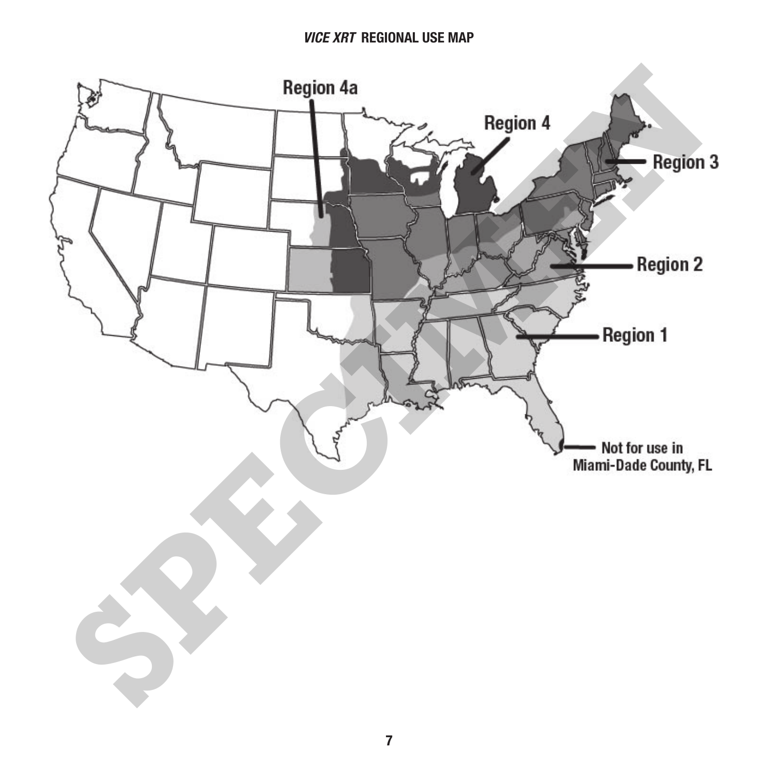## *VICE XRT* REGIONAL USE MAP

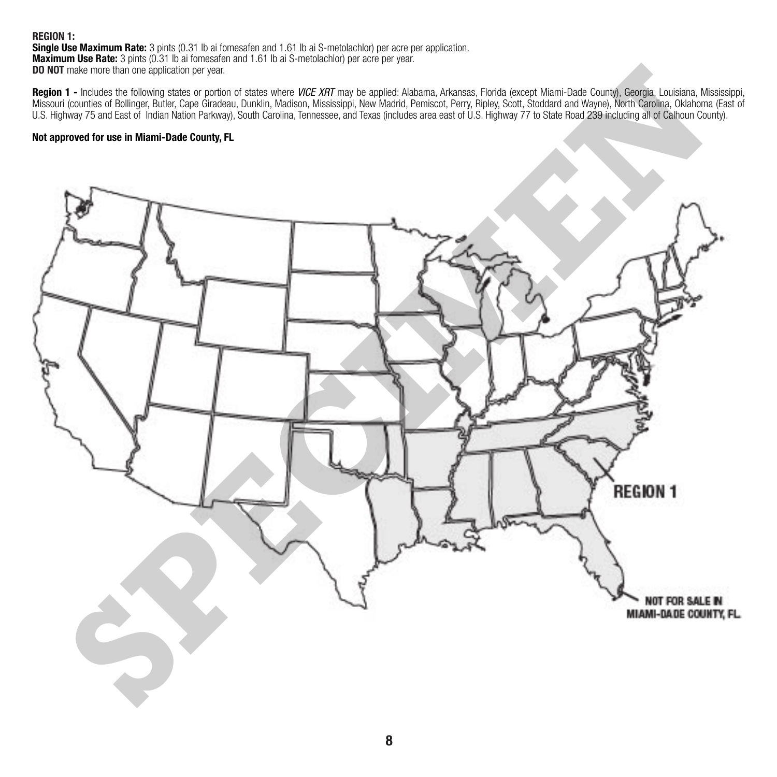#### REGION 1: **Single Use Maximum Rate:** 3 pints (0.31 lb ai fomesafen and 1.61 lb ai S-metolachlor) per acre per application.<br>**Maximum Use Rate:** 3 pints (0.31 lb ai fomesafen and 1.61 lb ai S-metolachlor) per acre per year. DO NOT make more than one application per year.

Region 1 - Includes the following states or portion of states where *VICE XRT* may be applied: Alabama, Arkansas, Florida (except Miami-Dade County), Georgia, Louisiana, Mississippi, Missouri (counties of Bollinger, Butler, Cape Giradeau, Dunklin, Madison, Mississippi, New Madrid, Pemiscot, Perry, Ripley, Scott, Stoddard and Wayne), North Carolina, Oklahoma (East of<br>U.S. Highway 75 and East of Indian N

#### Not approved for use in Miami-Dade County, FL

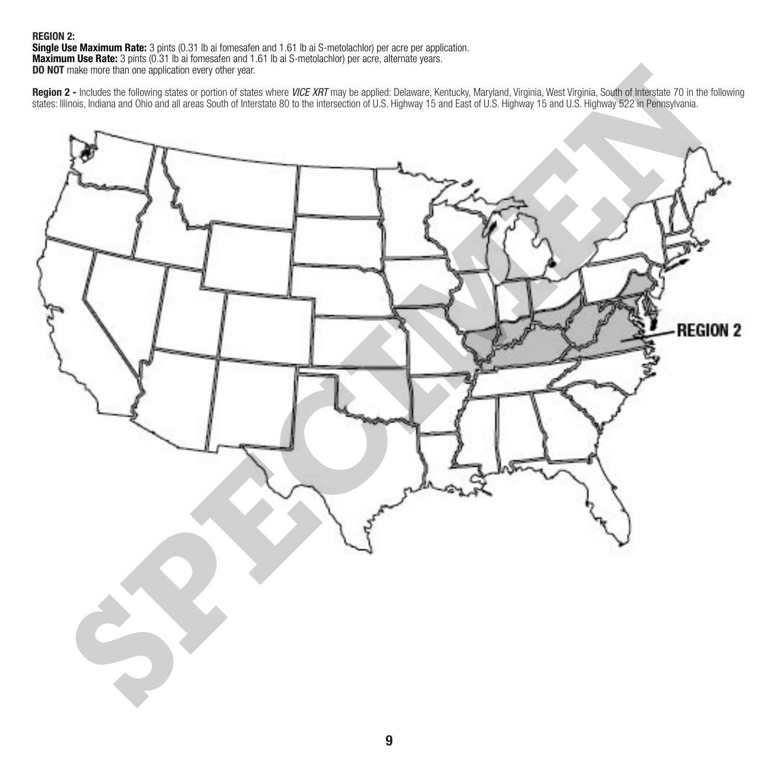#### REGION 2:

**Single Use Maximum Rate:** 3 pints (0.31 lb ai fomesafen and 1.61 lb ai S-metolachlor) per acre per application.<br>**Maximum Use Rate:** 3 pints (0.31 lb ai fomesafen and 1.61 lb ai S-metolachlor) per acre, alternate years. DO NOT make more than one application every other year.

**Region 2 -** Includes the following states or portion of states where *VICE XRT* may be applied: Delaware, Kentucky, Maryland, Virginia, West Virginia, South of Interstate 70 in the following<br>states: Illinois, Indiana and

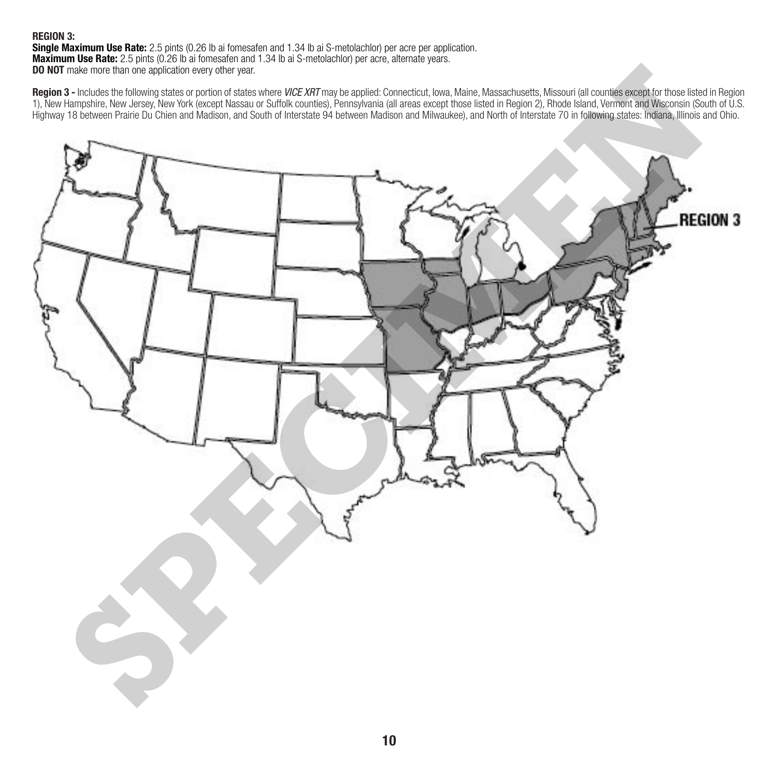#### REGION 3:

**Single Maximum Use Rate:** 2.5 pints (0.26 lb ai fomesafen and 1.34 lb ai S-metolachlor) per acre per application.<br>**Maximum Use Rate:** 2.5 pints (0.26 lb ai fomesafen and 1.34 lb ai S-metolachlor) per acre, alternate years DO NOT make more than one application every other year.

**Region 3 -** Includes the following states or portion of states where *VICE XRT* may be applied: Connecticut, lowa, Maine, Massachusetts, Missouri (all counties except for those listed in Region<br>1), New Hampshire, New Jers

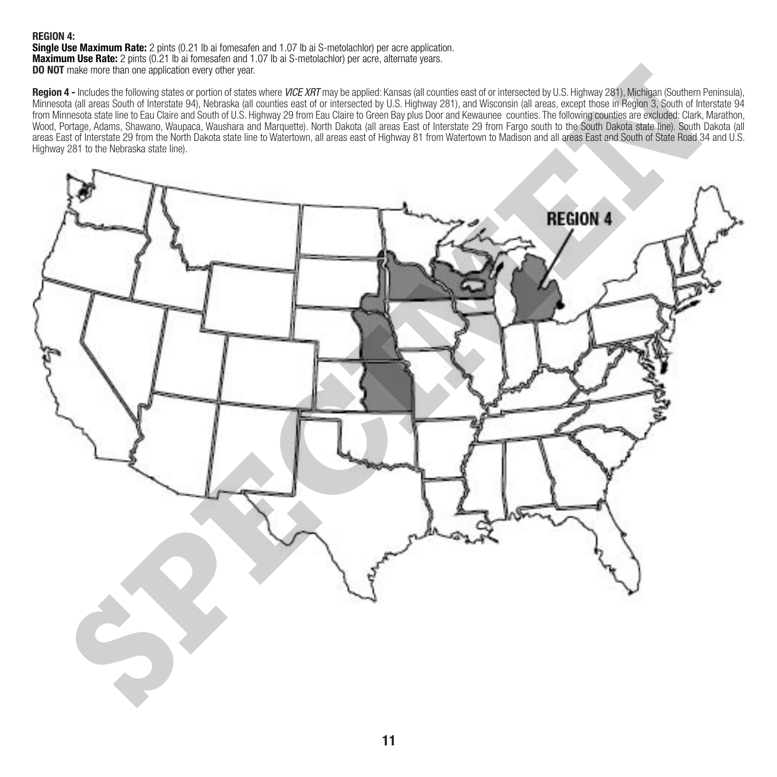#### REGION 4:

Single Use Maximum Rate: 2 pints (0.21 lb ai fomesafen and 1.07 lb ai S-metolachlor) per acre application. **Maximum Use Rate:** 2 pints (0.21 lb ai formesafen and 1.07 lb ai S-metolachlor) per acre, alternate years. DO NOT make more than one application every other year.

Region 4 - Includes the following states or portion of states where *VICE XRT* may be applied: Kansas (all counties east of or intersected by U.S. Highway 281), Michigan (Southern Peninsula), Minnesota (all areas South of Interstate 94), Nebraska (all counties east of or intersected by U.S. Highway 281), and Wisconsin (all areas, except those in Region 3, South of Interstate 94<br>from Minnesota state line to Eau areas East of Interstate 29 from the North Dakota state line to Watertown, all areas east of Highway 81 from Watertown to Madison and all areas East and South of State Road 34 and U.S. Highway 281 to the Nebraska state line).

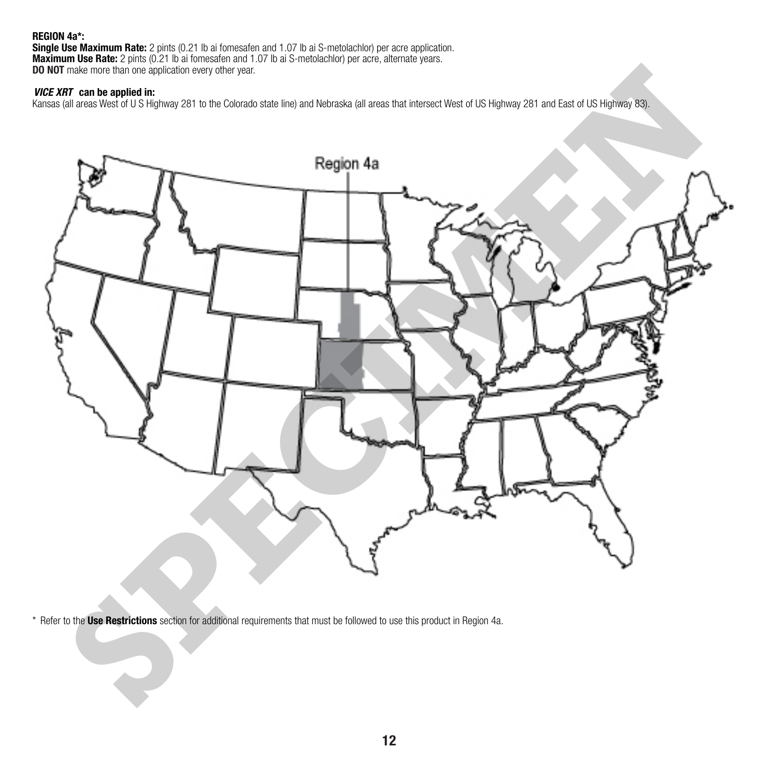#### REGION 4a\*:

**Single Use Maximum Rate:** 2 pints (0.21 lb ai fomesafen and 1.07 lb ai S-metolachlor) per acre application.<br>**Maximum Use Rate:** 2 pints (0.21 lb ai fomesafen and 1.07 lb ai S-metolachlor) per acre, alternate years. DO NOT make more than one application every other year.

#### *VICE XRT* can be applied in:

Kansas (all areas West of U S Highway 281 to the Colorado state line) and Nebraska (all areas that intersect West of US Highway 281 and East of US Highway 83).



\* Refer to the Use Restrictions section for additional requirements that must be followed to use this product in Region 4a.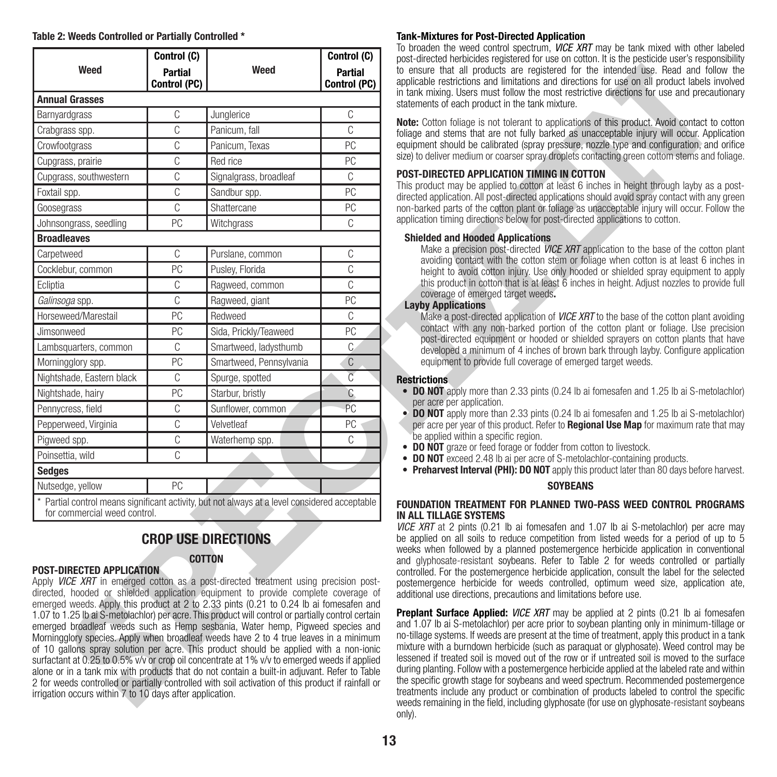#### Table 2: Weeds Controlled or Partially Controlled \*

| Weed<br>Weed<br>Partial<br>Partial<br>Control (PC)<br>Control (PC)<br>in tank mixing. Users must follow the most restrictive directions for use and precautionary<br><b>Annual Grasses</b><br>statements of each product in the tank mixture.<br>C<br>C<br>Junglerice<br>Barnyardgrass<br>Note: Cotton foliage is not tolerant to applications of this product. Avoid contact to cotton<br>C<br>C<br>Panicum, fall<br>Crabgrass spp.<br>PC<br>C<br>Panicum, Texas<br>Crowfootgrass<br>size) to deliver medium or coarser spray droplets contacting green cottom stems and foliage.<br>C<br>PC<br>Red rice<br>Cupgrass, prairie<br>POST-DIRECTED APPLICATION TIMING IN COTTON<br>C<br>C<br>Signalgrass, broadleaf<br>Cupgrass, southwestern<br>This product may be applied to cotton at least 6 inches in height through layby as a post-<br>C<br>PC<br>Foxtail spp.<br>Sandbur spp.<br>PC<br>C<br>Goosegrass<br>Shattercane<br>application timing directions below for post-directed applications to cotton.<br>PC<br>C<br>Witchgrass<br>Johnsongrass, seedling<br><b>Shielded and Hooded Applications</b><br><b>Broadleaves</b><br>Make a precision post-directed VICE XRT application to the base of the cotton plant<br>C<br>C<br>Carpetweed<br>Purslane, common<br>avoiding contact with the cotton stem or foliage when cotton is at least 6 inches in<br>PC<br>$\overline{C}$<br>Pusley, Florida<br>Cocklebur, common<br>$\overline{C}$<br>C<br>Ecliptia<br>Ragweed, common<br>coverage of emerged target weeds.<br>$\overline{C}$<br>PC<br>Galinsoga spp.<br>Ragweed, giant<br><b>Layby Applications</b><br>PC.<br>C<br>Horseweed/Marestail<br>Redweed<br>PC<br>PC<br>Sida, Prickly/Teaweed<br>Jimsonweed<br>post-directed equipment or hooded or shielded sprayers on cotton plants that have<br>C<br>C.<br>Lambsquarters, common<br>Smartweed, ladysthumb<br>PC<br>$\mathbb{C}$<br>equipment to provide full coverage of emerged target weeds.<br>Smartweed, Pennsylvania<br>Morningglory spp.<br>C<br>$\overline{C}$<br>Nightshade, Eastern black<br>Spurge, spotted<br><b>Restrictions</b><br>PC<br>C<br>Starbur, bristly<br>Nightshade, hairy<br>per acre per application.<br>PC<br>C<br>Pennycress, field<br>Sunflower, common<br>• DO NOT apply more than 2.33 pints (0.24 lb ai fomesafen and 1.25 lb ai S-metolachlor)<br>C<br>PC<br>Velvetleaf<br>Pepperweed, Virginia<br>be applied within a specific region.<br>C<br>C<br>Pigweed spp.<br>Waterhemp spp.<br>• DO NOT graze or feed forage or fodder from cotton to livestock.<br>C<br>Poinsettia, wild<br>• DO NOT exceed 2.48 lb ai per acre of S-metolachlor-containing products.<br><b>Sedges</b><br>PC<br><b>SOYBEANS</b><br>Nutsedge, yellow<br>Partial control means significant activity, but not always at a level considered acceptable<br>for commercial weed control.<br>IN ALL TILLAGE SYSTEMS<br>VICE XRT at 2 pints (0.21 lb ai fomesafen and 1.07 lb ai S-metolachlor) per acre may<br><b>CROP USE DIRECTIONS</b><br><b>COTTON</b><br><b>POST-DIRECTED APPLICATION</b><br>Apply <i>VICE XRT</i> in emerged cotton as a post-directed treatment using precision post-<br>directed, hooded or shielded application equipment to provide complete coverage of<br>additional use directions, precautions and limitations before use.<br>emerged weeds. Apply this product at 2 to 2.33 pints (0.21 to 0.24 lb ai fomesafen and<br>1.07 to 1.25 lb ai S-metolachlor) per acre. This product will control or partially control certain<br>emerged broadleaf weeds such as Hemp sesbania, Water hemp, Pigweed species and<br>Morningglory species. Apply when broadleaf weeds have 2 to 4 true leaves in a minimum<br>of 10 gallons spray solution per acre. This product should be applied with a non-ionic<br>surfactant at 0.25 to 0.5% v/v or crop oil concentrate at 1% v/v to emerged weeds if applied | Control (C) | Control (C) | to broaden the weed control spectrum, <i>VICE XR1</i> may be tank mixed with other labeled<br>post-directed herbicides registered for use on cotton. It is the pesticide user's responsibility                                                                                                                                                                                                                                                                                                                                                                                                                                                                                                                                                                                                                                                                                                                                                                                                                                                                                                                                                                                                                                                      |
|-----------------------------------------------------------------------------------------------------------------------------------------------------------------------------------------------------------------------------------------------------------------------------------------------------------------------------------------------------------------------------------------------------------------------------------------------------------------------------------------------------------------------------------------------------------------------------------------------------------------------------------------------------------------------------------------------------------------------------------------------------------------------------------------------------------------------------------------------------------------------------------------------------------------------------------------------------------------------------------------------------------------------------------------------------------------------------------------------------------------------------------------------------------------------------------------------------------------------------------------------------------------------------------------------------------------------------------------------------------------------------------------------------------------------------------------------------------------------------------------------------------------------------------------------------------------------------------------------------------------------------------------------------------------------------------------------------------------------------------------------------------------------------------------------------------------------------------------------------------------------------------------------------------------------------------------------------------------------------------------------------------------------------------------------------------------------------------------------------------------------------------------------------------------------------------------------------------------------------------------------------------------------------------------------------------------------------------------------------------------------------------------------------------------------------------------------------------------------------------------------------------------------------------------------------------------------------------------------------------------------------------------------------------------------------------------------------------------------------------------------------------------------------------------------------------------------------------------------------------------------------------------------------------------------------------------------------------------------------------------------------------------------------------------------------------------------------------------------------------------------------------------------------------------------------------------------------------------------------------------------------------------------------------------------------------------------------------------------------------------------------------------------------------------------------------------------------------------------------------------------------------------------------------------------------------------------------------------------------------------------------------------------------------------------------------------------------------------------------------------------------------------------------------------------------------------------------------------------------------------------------------------|-------------|-------------|-----------------------------------------------------------------------------------------------------------------------------------------------------------------------------------------------------------------------------------------------------------------------------------------------------------------------------------------------------------------------------------------------------------------------------------------------------------------------------------------------------------------------------------------------------------------------------------------------------------------------------------------------------------------------------------------------------------------------------------------------------------------------------------------------------------------------------------------------------------------------------------------------------------------------------------------------------------------------------------------------------------------------------------------------------------------------------------------------------------------------------------------------------------------------------------------------------------------------------------------------------|
|                                                                                                                                                                                                                                                                                                                                                                                                                                                                                                                                                                                                                                                                                                                                                                                                                                                                                                                                                                                                                                                                                                                                                                                                                                                                                                                                                                                                                                                                                                                                                                                                                                                                                                                                                                                                                                                                                                                                                                                                                                                                                                                                                                                                                                                                                                                                                                                                                                                                                                                                                                                                                                                                                                                                                                                                                                                                                                                                                                                                                                                                                                                                                                                                                                                                                                                                                                                                                                                                                                                                                                                                                                                                                                                                                                                                                                                                                         |             |             | to ensure that all products are registered for the intended use. Read and follow the<br>applicable restrictions and limitations and directions for use on all product labels involved                                                                                                                                                                                                                                                                                                                                                                                                                                                                                                                                                                                                                                                                                                                                                                                                                                                                                                                                                                                                                                                               |
|                                                                                                                                                                                                                                                                                                                                                                                                                                                                                                                                                                                                                                                                                                                                                                                                                                                                                                                                                                                                                                                                                                                                                                                                                                                                                                                                                                                                                                                                                                                                                                                                                                                                                                                                                                                                                                                                                                                                                                                                                                                                                                                                                                                                                                                                                                                                                                                                                                                                                                                                                                                                                                                                                                                                                                                                                                                                                                                                                                                                                                                                                                                                                                                                                                                                                                                                                                                                                                                                                                                                                                                                                                                                                                                                                                                                                                                                                         |             |             |                                                                                                                                                                                                                                                                                                                                                                                                                                                                                                                                                                                                                                                                                                                                                                                                                                                                                                                                                                                                                                                                                                                                                                                                                                                     |
|                                                                                                                                                                                                                                                                                                                                                                                                                                                                                                                                                                                                                                                                                                                                                                                                                                                                                                                                                                                                                                                                                                                                                                                                                                                                                                                                                                                                                                                                                                                                                                                                                                                                                                                                                                                                                                                                                                                                                                                                                                                                                                                                                                                                                                                                                                                                                                                                                                                                                                                                                                                                                                                                                                                                                                                                                                                                                                                                                                                                                                                                                                                                                                                                                                                                                                                                                                                                                                                                                                                                                                                                                                                                                                                                                                                                                                                                                         |             |             |                                                                                                                                                                                                                                                                                                                                                                                                                                                                                                                                                                                                                                                                                                                                                                                                                                                                                                                                                                                                                                                                                                                                                                                                                                                     |
|                                                                                                                                                                                                                                                                                                                                                                                                                                                                                                                                                                                                                                                                                                                                                                                                                                                                                                                                                                                                                                                                                                                                                                                                                                                                                                                                                                                                                                                                                                                                                                                                                                                                                                                                                                                                                                                                                                                                                                                                                                                                                                                                                                                                                                                                                                                                                                                                                                                                                                                                                                                                                                                                                                                                                                                                                                                                                                                                                                                                                                                                                                                                                                                                                                                                                                                                                                                                                                                                                                                                                                                                                                                                                                                                                                                                                                                                                         |             |             | foliage and stems that are not fully barked as unacceptable injury will occur. Application                                                                                                                                                                                                                                                                                                                                                                                                                                                                                                                                                                                                                                                                                                                                                                                                                                                                                                                                                                                                                                                                                                                                                          |
|                                                                                                                                                                                                                                                                                                                                                                                                                                                                                                                                                                                                                                                                                                                                                                                                                                                                                                                                                                                                                                                                                                                                                                                                                                                                                                                                                                                                                                                                                                                                                                                                                                                                                                                                                                                                                                                                                                                                                                                                                                                                                                                                                                                                                                                                                                                                                                                                                                                                                                                                                                                                                                                                                                                                                                                                                                                                                                                                                                                                                                                                                                                                                                                                                                                                                                                                                                                                                                                                                                                                                                                                                                                                                                                                                                                                                                                                                         |             |             | equipment should be calibrated (spray pressure, nozzle type and configuration, and orifice                                                                                                                                                                                                                                                                                                                                                                                                                                                                                                                                                                                                                                                                                                                                                                                                                                                                                                                                                                                                                                                                                                                                                          |
|                                                                                                                                                                                                                                                                                                                                                                                                                                                                                                                                                                                                                                                                                                                                                                                                                                                                                                                                                                                                                                                                                                                                                                                                                                                                                                                                                                                                                                                                                                                                                                                                                                                                                                                                                                                                                                                                                                                                                                                                                                                                                                                                                                                                                                                                                                                                                                                                                                                                                                                                                                                                                                                                                                                                                                                                                                                                                                                                                                                                                                                                                                                                                                                                                                                                                                                                                                                                                                                                                                                                                                                                                                                                                                                                                                                                                                                                                         |             |             |                                                                                                                                                                                                                                                                                                                                                                                                                                                                                                                                                                                                                                                                                                                                                                                                                                                                                                                                                                                                                                                                                                                                                                                                                                                     |
|                                                                                                                                                                                                                                                                                                                                                                                                                                                                                                                                                                                                                                                                                                                                                                                                                                                                                                                                                                                                                                                                                                                                                                                                                                                                                                                                                                                                                                                                                                                                                                                                                                                                                                                                                                                                                                                                                                                                                                                                                                                                                                                                                                                                                                                                                                                                                                                                                                                                                                                                                                                                                                                                                                                                                                                                                                                                                                                                                                                                                                                                                                                                                                                                                                                                                                                                                                                                                                                                                                                                                                                                                                                                                                                                                                                                                                                                                         |             |             |                                                                                                                                                                                                                                                                                                                                                                                                                                                                                                                                                                                                                                                                                                                                                                                                                                                                                                                                                                                                                                                                                                                                                                                                                                                     |
|                                                                                                                                                                                                                                                                                                                                                                                                                                                                                                                                                                                                                                                                                                                                                                                                                                                                                                                                                                                                                                                                                                                                                                                                                                                                                                                                                                                                                                                                                                                                                                                                                                                                                                                                                                                                                                                                                                                                                                                                                                                                                                                                                                                                                                                                                                                                                                                                                                                                                                                                                                                                                                                                                                                                                                                                                                                                                                                                                                                                                                                                                                                                                                                                                                                                                                                                                                                                                                                                                                                                                                                                                                                                                                                                                                                                                                                                                         |             |             | directed application. All post-directed applications should avoid spray contact with any green                                                                                                                                                                                                                                                                                                                                                                                                                                                                                                                                                                                                                                                                                                                                                                                                                                                                                                                                                                                                                                                                                                                                                      |
|                                                                                                                                                                                                                                                                                                                                                                                                                                                                                                                                                                                                                                                                                                                                                                                                                                                                                                                                                                                                                                                                                                                                                                                                                                                                                                                                                                                                                                                                                                                                                                                                                                                                                                                                                                                                                                                                                                                                                                                                                                                                                                                                                                                                                                                                                                                                                                                                                                                                                                                                                                                                                                                                                                                                                                                                                                                                                                                                                                                                                                                                                                                                                                                                                                                                                                                                                                                                                                                                                                                                                                                                                                                                                                                                                                                                                                                                                         |             |             | non-barked parts of the cotton plant or foliage as unacceptable injury will occur. Follow the                                                                                                                                                                                                                                                                                                                                                                                                                                                                                                                                                                                                                                                                                                                                                                                                                                                                                                                                                                                                                                                                                                                                                       |
|                                                                                                                                                                                                                                                                                                                                                                                                                                                                                                                                                                                                                                                                                                                                                                                                                                                                                                                                                                                                                                                                                                                                                                                                                                                                                                                                                                                                                                                                                                                                                                                                                                                                                                                                                                                                                                                                                                                                                                                                                                                                                                                                                                                                                                                                                                                                                                                                                                                                                                                                                                                                                                                                                                                                                                                                                                                                                                                                                                                                                                                                                                                                                                                                                                                                                                                                                                                                                                                                                                                                                                                                                                                                                                                                                                                                                                                                                         |             |             |                                                                                                                                                                                                                                                                                                                                                                                                                                                                                                                                                                                                                                                                                                                                                                                                                                                                                                                                                                                                                                                                                                                                                                                                                                                     |
|                                                                                                                                                                                                                                                                                                                                                                                                                                                                                                                                                                                                                                                                                                                                                                                                                                                                                                                                                                                                                                                                                                                                                                                                                                                                                                                                                                                                                                                                                                                                                                                                                                                                                                                                                                                                                                                                                                                                                                                                                                                                                                                                                                                                                                                                                                                                                                                                                                                                                                                                                                                                                                                                                                                                                                                                                                                                                                                                                                                                                                                                                                                                                                                                                                                                                                                                                                                                                                                                                                                                                                                                                                                                                                                                                                                                                                                                                         |             |             |                                                                                                                                                                                                                                                                                                                                                                                                                                                                                                                                                                                                                                                                                                                                                                                                                                                                                                                                                                                                                                                                                                                                                                                                                                                     |
|                                                                                                                                                                                                                                                                                                                                                                                                                                                                                                                                                                                                                                                                                                                                                                                                                                                                                                                                                                                                                                                                                                                                                                                                                                                                                                                                                                                                                                                                                                                                                                                                                                                                                                                                                                                                                                                                                                                                                                                                                                                                                                                                                                                                                                                                                                                                                                                                                                                                                                                                                                                                                                                                                                                                                                                                                                                                                                                                                                                                                                                                                                                                                                                                                                                                                                                                                                                                                                                                                                                                                                                                                                                                                                                                                                                                                                                                                         |             |             |                                                                                                                                                                                                                                                                                                                                                                                                                                                                                                                                                                                                                                                                                                                                                                                                                                                                                                                                                                                                                                                                                                                                                                                                                                                     |
|                                                                                                                                                                                                                                                                                                                                                                                                                                                                                                                                                                                                                                                                                                                                                                                                                                                                                                                                                                                                                                                                                                                                                                                                                                                                                                                                                                                                                                                                                                                                                                                                                                                                                                                                                                                                                                                                                                                                                                                                                                                                                                                                                                                                                                                                                                                                                                                                                                                                                                                                                                                                                                                                                                                                                                                                                                                                                                                                                                                                                                                                                                                                                                                                                                                                                                                                                                                                                                                                                                                                                                                                                                                                                                                                                                                                                                                                                         |             |             | height to avoid cotton injury. Use only hooded or shielded spray equipment to apply                                                                                                                                                                                                                                                                                                                                                                                                                                                                                                                                                                                                                                                                                                                                                                                                                                                                                                                                                                                                                                                                                                                                                                 |
|                                                                                                                                                                                                                                                                                                                                                                                                                                                                                                                                                                                                                                                                                                                                                                                                                                                                                                                                                                                                                                                                                                                                                                                                                                                                                                                                                                                                                                                                                                                                                                                                                                                                                                                                                                                                                                                                                                                                                                                                                                                                                                                                                                                                                                                                                                                                                                                                                                                                                                                                                                                                                                                                                                                                                                                                                                                                                                                                                                                                                                                                                                                                                                                                                                                                                                                                                                                                                                                                                                                                                                                                                                                                                                                                                                                                                                                                                         |             |             | this product in cotton that is at least 6 inches in height. Adjust nozzles to provide full                                                                                                                                                                                                                                                                                                                                                                                                                                                                                                                                                                                                                                                                                                                                                                                                                                                                                                                                                                                                                                                                                                                                                          |
|                                                                                                                                                                                                                                                                                                                                                                                                                                                                                                                                                                                                                                                                                                                                                                                                                                                                                                                                                                                                                                                                                                                                                                                                                                                                                                                                                                                                                                                                                                                                                                                                                                                                                                                                                                                                                                                                                                                                                                                                                                                                                                                                                                                                                                                                                                                                                                                                                                                                                                                                                                                                                                                                                                                                                                                                                                                                                                                                                                                                                                                                                                                                                                                                                                                                                                                                                                                                                                                                                                                                                                                                                                                                                                                                                                                                                                                                                         |             |             |                                                                                                                                                                                                                                                                                                                                                                                                                                                                                                                                                                                                                                                                                                                                                                                                                                                                                                                                                                                                                                                                                                                                                                                                                                                     |
|                                                                                                                                                                                                                                                                                                                                                                                                                                                                                                                                                                                                                                                                                                                                                                                                                                                                                                                                                                                                                                                                                                                                                                                                                                                                                                                                                                                                                                                                                                                                                                                                                                                                                                                                                                                                                                                                                                                                                                                                                                                                                                                                                                                                                                                                                                                                                                                                                                                                                                                                                                                                                                                                                                                                                                                                                                                                                                                                                                                                                                                                                                                                                                                                                                                                                                                                                                                                                                                                                                                                                                                                                                                                                                                                                                                                                                                                                         |             |             | Make a post-directed application of <i>VICE XRT</i> to the base of the cotton plant avoiding                                                                                                                                                                                                                                                                                                                                                                                                                                                                                                                                                                                                                                                                                                                                                                                                                                                                                                                                                                                                                                                                                                                                                        |
|                                                                                                                                                                                                                                                                                                                                                                                                                                                                                                                                                                                                                                                                                                                                                                                                                                                                                                                                                                                                                                                                                                                                                                                                                                                                                                                                                                                                                                                                                                                                                                                                                                                                                                                                                                                                                                                                                                                                                                                                                                                                                                                                                                                                                                                                                                                                                                                                                                                                                                                                                                                                                                                                                                                                                                                                                                                                                                                                                                                                                                                                                                                                                                                                                                                                                                                                                                                                                                                                                                                                                                                                                                                                                                                                                                                                                                                                                         |             |             | contact with any non-barked portion of the cotton plant or foliage. Use precision                                                                                                                                                                                                                                                                                                                                                                                                                                                                                                                                                                                                                                                                                                                                                                                                                                                                                                                                                                                                                                                                                                                                                                   |
|                                                                                                                                                                                                                                                                                                                                                                                                                                                                                                                                                                                                                                                                                                                                                                                                                                                                                                                                                                                                                                                                                                                                                                                                                                                                                                                                                                                                                                                                                                                                                                                                                                                                                                                                                                                                                                                                                                                                                                                                                                                                                                                                                                                                                                                                                                                                                                                                                                                                                                                                                                                                                                                                                                                                                                                                                                                                                                                                                                                                                                                                                                                                                                                                                                                                                                                                                                                                                                                                                                                                                                                                                                                                                                                                                                                                                                                                                         |             |             | developed a minimum of 4 inches of brown bark through layby. Configure application                                                                                                                                                                                                                                                                                                                                                                                                                                                                                                                                                                                                                                                                                                                                                                                                                                                                                                                                                                                                                                                                                                                                                                  |
|                                                                                                                                                                                                                                                                                                                                                                                                                                                                                                                                                                                                                                                                                                                                                                                                                                                                                                                                                                                                                                                                                                                                                                                                                                                                                                                                                                                                                                                                                                                                                                                                                                                                                                                                                                                                                                                                                                                                                                                                                                                                                                                                                                                                                                                                                                                                                                                                                                                                                                                                                                                                                                                                                                                                                                                                                                                                                                                                                                                                                                                                                                                                                                                                                                                                                                                                                                                                                                                                                                                                                                                                                                                                                                                                                                                                                                                                                         |             |             |                                                                                                                                                                                                                                                                                                                                                                                                                                                                                                                                                                                                                                                                                                                                                                                                                                                                                                                                                                                                                                                                                                                                                                                                                                                     |
|                                                                                                                                                                                                                                                                                                                                                                                                                                                                                                                                                                                                                                                                                                                                                                                                                                                                                                                                                                                                                                                                                                                                                                                                                                                                                                                                                                                                                                                                                                                                                                                                                                                                                                                                                                                                                                                                                                                                                                                                                                                                                                                                                                                                                                                                                                                                                                                                                                                                                                                                                                                                                                                                                                                                                                                                                                                                                                                                                                                                                                                                                                                                                                                                                                                                                                                                                                                                                                                                                                                                                                                                                                                                                                                                                                                                                                                                                         |             |             |                                                                                                                                                                                                                                                                                                                                                                                                                                                                                                                                                                                                                                                                                                                                                                                                                                                                                                                                                                                                                                                                                                                                                                                                                                                     |
|                                                                                                                                                                                                                                                                                                                                                                                                                                                                                                                                                                                                                                                                                                                                                                                                                                                                                                                                                                                                                                                                                                                                                                                                                                                                                                                                                                                                                                                                                                                                                                                                                                                                                                                                                                                                                                                                                                                                                                                                                                                                                                                                                                                                                                                                                                                                                                                                                                                                                                                                                                                                                                                                                                                                                                                                                                                                                                                                                                                                                                                                                                                                                                                                                                                                                                                                                                                                                                                                                                                                                                                                                                                                                                                                                                                                                                                                                         |             |             | • DO NOT apply more than 2.33 pints (0.24 lb ai fomesafen and 1.25 lb ai S-metolachlor)                                                                                                                                                                                                                                                                                                                                                                                                                                                                                                                                                                                                                                                                                                                                                                                                                                                                                                                                                                                                                                                                                                                                                             |
|                                                                                                                                                                                                                                                                                                                                                                                                                                                                                                                                                                                                                                                                                                                                                                                                                                                                                                                                                                                                                                                                                                                                                                                                                                                                                                                                                                                                                                                                                                                                                                                                                                                                                                                                                                                                                                                                                                                                                                                                                                                                                                                                                                                                                                                                                                                                                                                                                                                                                                                                                                                                                                                                                                                                                                                                                                                                                                                                                                                                                                                                                                                                                                                                                                                                                                                                                                                                                                                                                                                                                                                                                                                                                                                                                                                                                                                                                         |             |             |                                                                                                                                                                                                                                                                                                                                                                                                                                                                                                                                                                                                                                                                                                                                                                                                                                                                                                                                                                                                                                                                                                                                                                                                                                                     |
|                                                                                                                                                                                                                                                                                                                                                                                                                                                                                                                                                                                                                                                                                                                                                                                                                                                                                                                                                                                                                                                                                                                                                                                                                                                                                                                                                                                                                                                                                                                                                                                                                                                                                                                                                                                                                                                                                                                                                                                                                                                                                                                                                                                                                                                                                                                                                                                                                                                                                                                                                                                                                                                                                                                                                                                                                                                                                                                                                                                                                                                                                                                                                                                                                                                                                                                                                                                                                                                                                                                                                                                                                                                                                                                                                                                                                                                                                         |             |             | per acre per year of this product. Refer to <b>Regional Use Map</b> for maximum rate that may                                                                                                                                                                                                                                                                                                                                                                                                                                                                                                                                                                                                                                                                                                                                                                                                                                                                                                                                                                                                                                                                                                                                                       |
|                                                                                                                                                                                                                                                                                                                                                                                                                                                                                                                                                                                                                                                                                                                                                                                                                                                                                                                                                                                                                                                                                                                                                                                                                                                                                                                                                                                                                                                                                                                                                                                                                                                                                                                                                                                                                                                                                                                                                                                                                                                                                                                                                                                                                                                                                                                                                                                                                                                                                                                                                                                                                                                                                                                                                                                                                                                                                                                                                                                                                                                                                                                                                                                                                                                                                                                                                                                                                                                                                                                                                                                                                                                                                                                                                                                                                                                                                         |             |             |                                                                                                                                                                                                                                                                                                                                                                                                                                                                                                                                                                                                                                                                                                                                                                                                                                                                                                                                                                                                                                                                                                                                                                                                                                                     |
|                                                                                                                                                                                                                                                                                                                                                                                                                                                                                                                                                                                                                                                                                                                                                                                                                                                                                                                                                                                                                                                                                                                                                                                                                                                                                                                                                                                                                                                                                                                                                                                                                                                                                                                                                                                                                                                                                                                                                                                                                                                                                                                                                                                                                                                                                                                                                                                                                                                                                                                                                                                                                                                                                                                                                                                                                                                                                                                                                                                                                                                                                                                                                                                                                                                                                                                                                                                                                                                                                                                                                                                                                                                                                                                                                                                                                                                                                         |             |             |                                                                                                                                                                                                                                                                                                                                                                                                                                                                                                                                                                                                                                                                                                                                                                                                                                                                                                                                                                                                                                                                                                                                                                                                                                                     |
|                                                                                                                                                                                                                                                                                                                                                                                                                                                                                                                                                                                                                                                                                                                                                                                                                                                                                                                                                                                                                                                                                                                                                                                                                                                                                                                                                                                                                                                                                                                                                                                                                                                                                                                                                                                                                                                                                                                                                                                                                                                                                                                                                                                                                                                                                                                                                                                                                                                                                                                                                                                                                                                                                                                                                                                                                                                                                                                                                                                                                                                                                                                                                                                                                                                                                                                                                                                                                                                                                                                                                                                                                                                                                                                                                                                                                                                                                         |             |             | • Preharvest Interval (PHI): DO NOT apply this product later than 80 days before harvest.                                                                                                                                                                                                                                                                                                                                                                                                                                                                                                                                                                                                                                                                                                                                                                                                                                                                                                                                                                                                                                                                                                                                                           |
|                                                                                                                                                                                                                                                                                                                                                                                                                                                                                                                                                                                                                                                                                                                                                                                                                                                                                                                                                                                                                                                                                                                                                                                                                                                                                                                                                                                                                                                                                                                                                                                                                                                                                                                                                                                                                                                                                                                                                                                                                                                                                                                                                                                                                                                                                                                                                                                                                                                                                                                                                                                                                                                                                                                                                                                                                                                                                                                                                                                                                                                                                                                                                                                                                                                                                                                                                                                                                                                                                                                                                                                                                                                                                                                                                                                                                                                                                         |             |             |                                                                                                                                                                                                                                                                                                                                                                                                                                                                                                                                                                                                                                                                                                                                                                                                                                                                                                                                                                                                                                                                                                                                                                                                                                                     |
|                                                                                                                                                                                                                                                                                                                                                                                                                                                                                                                                                                                                                                                                                                                                                                                                                                                                                                                                                                                                                                                                                                                                                                                                                                                                                                                                                                                                                                                                                                                                                                                                                                                                                                                                                                                                                                                                                                                                                                                                                                                                                                                                                                                                                                                                                                                                                                                                                                                                                                                                                                                                                                                                                                                                                                                                                                                                                                                                                                                                                                                                                                                                                                                                                                                                                                                                                                                                                                                                                                                                                                                                                                                                                                                                                                                                                                                                                         |             |             | FOUNDATION TREATMENT FOR PLANNED TWO-PASS WEED CONTROL PROGRAMS                                                                                                                                                                                                                                                                                                                                                                                                                                                                                                                                                                                                                                                                                                                                                                                                                                                                                                                                                                                                                                                                                                                                                                                     |
| alone or in a tank mix with products that do not contain a built-in adjuvant. Refer to Table<br>2 for weeds controlled or partially controlled with soil activation of this product if rainfall or<br>irrigation occurs within 7 to 10 days after application.                                                                                                                                                                                                                                                                                                                                                                                                                                                                                                                                                                                                                                                                                                                                                                                                                                                                                                                                                                                                                                                                                                                                                                                                                                                                                                                                                                                                                                                                                                                                                                                                                                                                                                                                                                                                                                                                                                                                                                                                                                                                                                                                                                                                                                                                                                                                                                                                                                                                                                                                                                                                                                                                                                                                                                                                                                                                                                                                                                                                                                                                                                                                                                                                                                                                                                                                                                                                                                                                                                                                                                                                                          |             |             | be applied on all soils to reduce competition from listed weeds for a period of up to 5<br>weeks when followed by a planned postemergence herbicide application in conventional<br>and glyphosate-resistant soybeans. Refer to Table 2 for weeds controlled or partially<br>controlled. For the postemergence herbicide application, consult the label for the selected<br>postemergence herbicide for weeds controlled, optimum weed size, application ate,<br><b>Preplant Surface Applied:</b> <i>VICE XRT</i> may be applied at 2 pints (0.21 lb ai fomesafen<br>and 1.07 lb ai S-metolachlor) per acre prior to soybean planting only in minimum-tillage or<br>no-tillage systems. If weeds are present at the time of treatment, apply this product in a tank<br>mixture with a burndown herbicide (such as paraquat or glyphosate). Weed control may be<br>lessened if treated soil is moved out of the row or if untreated soil is moved to the surface<br>during planting. Follow with a postemergence herbicide applied at the labeled rate and within<br>the specific growth stage for soybeans and weed spectrum. Recommended postemergence<br>treatments include any product or combination of products labeled to control the specific |

### CROP USE DIRECTIONS

#### **COTTON**

#### POST-DIRECTED APPLICATION

#### Tank-Mixtures for Post-Directed Application

To broaden the weed control spectrum, *VICE XRT* may be tank mixed with other labeled post-directed herbicides registered for use on cotton. It is the pesticide user's responsibility to ensure that all products are registered for the intended use. Read and follow the applicable restrictions and limitations and directions for use on all product labels involved in tank mixing. Users must follow the most restrictive directions for use and precautionary statements of each product in the tank mixture.

#### POST-DIRECTED APPLICATION TIMING IN COTTON

#### Shielded and Hooded Applications

#### Layby Applications

#### Restrictions

- **DO NOT** apply more than 2.33 pints (0.24 lb ai fomesafen and 1.25 lb ai S-metolachlor) per acre per application.
- **DO NOT** apply more than 2.33 pints (0.24 lb ai fomesafen and 1.25 lb ai S-metolachlor) per acre per year of this product. Refer to **Regional Use Map** for maximum rate that may be applied within a specific region.
- DO NOT graze or feed forage or fodder from cotton to livestock.
- DO NOT exceed 2.48 lb ai per acre of S-metolachlor-containing products.
- Preharvest Interval (PHI): DO NOT apply this product later than 80 days before harvest.

#### **SOVREANS**

#### FOUNDATION TREATMENT FOR PLANNED TWO-PASS WEED CONTROL PROGRAMS IN ALL TILLAGE SYSTEMS

**Preplant Surface Applied:** *VICE XRT* may be applied at 2 pints (0.21 lb ai fomesafen and 1.07 lb ai S-metolachlor) per acre prior to soybean planting only in minimum-tillage or no-tillage systems. If weeds are present at the time of treatment, apply this product in a tank mixture with a burndown herbicide (such as paraquat or glyphosate). Weed control may be lessened if treated soil is moved out of the row or if untreated soil is moved to the surface during planting. Follow with a postemergence herbicide applied at the labeled rate and within the specific growth stage for soybeans and weed spectrum. Recommended postemergence treatments include any product or combination of products labeled to control the specific weeds remaining in the field, including glyphosate (for use on glyphosate-resistant soybeans only).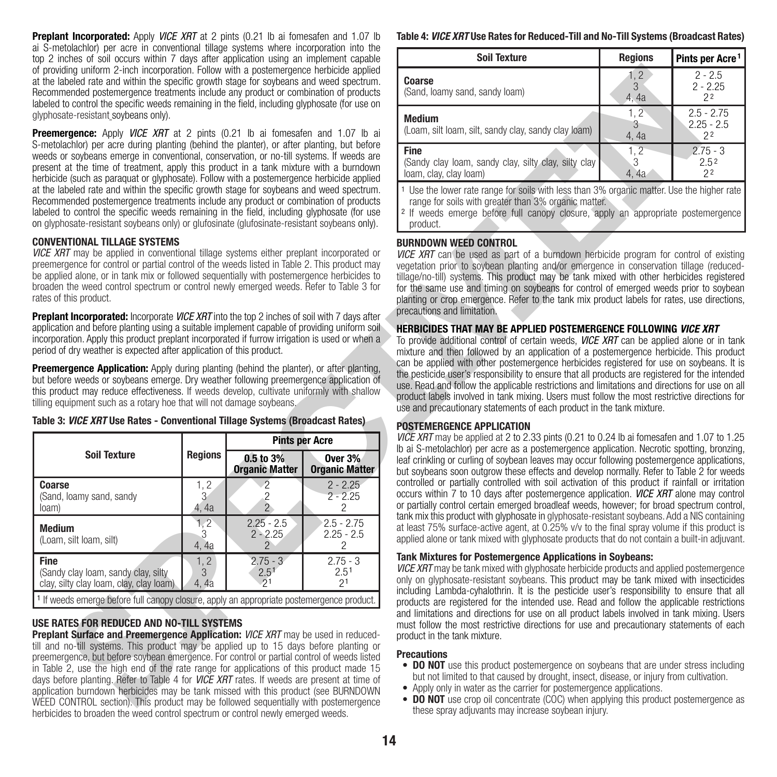**Preplant Incorporated:** Apply *VICE XRT* at 2 pints (0.21 lb ai fomesafen and 1.07 lb ai S-metolachlor) per acre in conventional tillage systems where incorporation into the top 2 inches of soil occurs within 7 days after application using an implement capable of providing uniform 2-inch incorporation. Follow with a postemergence herbicide applied at the labeled rate and within the specific growth stage for soybeans and weed spectrum. Recommended postemergence treatments include any product or combination of products labeled to control the specific weeds remaining in the field, including glyphosate (for use on glyphosate-resistant soybeans only).

#### CONVENTIONAL TILLAGE SYSTEMS

| Table 3: VICE XRT Use Rates - Conventional Tillage Systems (Broadcast Rates) |  |                         |  |
|------------------------------------------------------------------------------|--|-------------------------|--|
|                                                                              |  | Division was Associated |  |

| of providing uniform 2-inch incorporation. Follow with a postemergence herbicide applied<br>at the labeled rate and within the specific growth stage for soybeans and weed spectrum.                                                                                                                                                                                                                                                                                |                    |                                                  |                                                  | Coarse<br>(Sand, loamy sand, sandy loam)                                                                                                                                                                                                                                                                                                                                                                                                                                                                                                   | 1, 2<br>3          | $2 - 2.5$<br>$2 - 2.25$                          |
|---------------------------------------------------------------------------------------------------------------------------------------------------------------------------------------------------------------------------------------------------------------------------------------------------------------------------------------------------------------------------------------------------------------------------------------------------------------------|--------------------|--------------------------------------------------|--------------------------------------------------|--------------------------------------------------------------------------------------------------------------------------------------------------------------------------------------------------------------------------------------------------------------------------------------------------------------------------------------------------------------------------------------------------------------------------------------------------------------------------------------------------------------------------------------------|--------------------|--------------------------------------------------|
| Recommended postemergence treatments include any product or combination of products<br>labeled to control the specific weeds remaining in the field, including glyphosate (for use on<br>glyphosate-resistant soybeans only).                                                                                                                                                                                                                                       |                    |                                                  |                                                  |                                                                                                                                                                                                                                                                                                                                                                                                                                                                                                                                            | 4, 4a<br>1.2       | 2 <sup>2</sup><br>$2.5 - 2.75$                   |
| Preemergence: Apply VICE XRT at 2 pints (0.21 lb ai fomesafen and 1.07 lb ai                                                                                                                                                                                                                                                                                                                                                                                        |                    |                                                  |                                                  | <b>Medium</b><br>(Loam, silt loam, silt, sandy clay, sandy clay loam)                                                                                                                                                                                                                                                                                                                                                                                                                                                                      | 3<br>4, 4a         | $2.25 - 2.5$<br>2 <sup>2</sup>                   |
| S-metolachlor) per acre during planting (behind the planter), or after planting, but before<br>weeds or soybeans emerge in conventional, conservation, or no-till systems. If weeds are<br>present at the time of treatment, apply this product in a tank mixture with a burndown<br>herbicide (such as paraquat or glyphosate). Follow with a postemergence herbicide applied                                                                                      |                    |                                                  |                                                  | <b>Fine</b><br>(Sandy clay loam, sandy clay, silty clay, silty clay<br>loam, clay, clay loam)                                                                                                                                                                                                                                                                                                                                                                                                                                              | 1, 2<br>3<br>4, 4a | $2.75 - 3$<br>2.5 <sup>2</sup><br>2 <sup>2</sup> |
| at the labeled rate and within the specific growth stage for soybeans and weed spectrum.<br>Recommended postemergence treatments include any product or combination of products<br>labeled to control the specific weeds remaining in the field, including glyphosate (for use<br>on glyphosate-resistant soybeans only) or glufosinate (glufosinate-resistant soybeans only).                                                                                      |                    |                                                  |                                                  | <sup>1</sup> Use the lower rate range for soils with less than 3% organic matter. Use the higher rate<br>range for soils with greater than 3% organic matter.<br><sup>2</sup> If weeds emerge before full canopy closure, apply an appropriate postemergence<br>product.                                                                                                                                                                                                                                                                   |                    |                                                  |
| <b>CONVENTIONAL TILLAGE SYSTEMS</b><br>VICE XRT may be applied in conventional tillage systems either preplant incorporated or<br>preemergence for control or partial control of the weeds listed in Table 2. This product may<br>be applied alone, or in tank mix or followed sequentially with postemergence herbicides to<br>broaden the weed control spectrum or control newly emerged weeds. Refer to Table 3 for<br>rates of this product.                    |                    |                                                  |                                                  | <b>BURNDOWN WEED CONTROL</b><br><b>VICE XRT</b> can be used as part of a burndown herbicide program for control of existing<br>vegetation prior to soybean planting and/or emergence in conservation tillage (reduced-<br>tillage/no-till) systems. This product may be tank mixed with other herbicides registered<br>for the same use and timing on soybeans for control of emerged weeds prior to soybean<br>planting or crop emergence. Refer to the tank mix product labels for rates, use directions,<br>precautions and limitation. |                    |                                                  |
| <b>Preplant Incorporated:</b> Incorporate <i>VICE XRT</i> into the top 2 inches of soil with 7 days after<br>application and before planting using a suitable implement capable of providing uniform soil<br>incorporation. Apply this product preplant incorporated if furrow irrigation is used or when a<br>period of dry weather is expected after application of this product.                                                                                 |                    |                                                  |                                                  | <b>HERBICIDES THAT MAY BE APPLIED POSTEMERGENCE FOLLOWING VICE XRT</b><br>To provide additional control of certain weeds, <i>VICE XRT</i> can be applied alone or in tank<br>mixture and then followed by an application of a postemergence herbicide. This product                                                                                                                                                                                                                                                                        |                    |                                                  |
| <b>Preemergence Application:</b> Apply during planting (behind the planter), or after planting,<br>but before weeds or soybeans emerge. Dry weather following preemergence application of<br>this product may reduce effectiveness. If weeds develop, cultivate uniformly with shallow<br>tilling equipment such as a rotary hoe that will not damage soybeans,                                                                                                     |                    |                                                  |                                                  | can be applied with other postemergence herbicides registered for use on soybeans. It is<br>the pesticide user's responsibility to ensure that all products are registered for the intended<br>use. Read and follow the applicable restrictions and limitations and directions for use on all<br>product labels involved in tank mixing. Users must follow the most restrictive directions for<br>use and precautionary statements of each product in the tank mixture.                                                                    |                    |                                                  |
| Table 3: VICE XRT Use Rates - Conventional Tillage Systems (Broadcast Rates)                                                                                                                                                                                                                                                                                                                                                                                        |                    |                                                  | <b>Pints per Acre</b>                            | <b>POSTEMERGENCE APPLICATION</b><br>VICE XRT may be applied at 2 to 2.33 pints (0.21 to 0.24 lb ai fomesafen and 1.07 to 1.25                                                                                                                                                                                                                                                                                                                                                                                                              |                    |                                                  |
| <b>Soil Texture</b>                                                                                                                                                                                                                                                                                                                                                                                                                                                 | <b>Regions</b>     | 0.5 to 3%<br><b>Organic Matter</b>               | <b>Over 3%</b><br><b>Organic Matter</b>          | Ib ai S-metolachlor) per acre as a postemergence application. Necrotic spotting, bronzing,<br>leaf crinkling or curling of soybean leaves may occur following postemergence applications,<br>but soybeans soon outgrow these effects and develop normally. Refer to Table 2 for weeds                                                                                                                                                                                                                                                      |                    |                                                  |
| Coarse<br>(Sand, loamy sand, sandy<br>loam)                                                                                                                                                                                                                                                                                                                                                                                                                         | 1.2<br>3<br>4, 4a  | $\overline{c}$<br>2<br>$\overline{c}$            | $2 - 2.25$<br>$2 - 2.25$<br>2                    | controlled or partially controlled with soil activation of this product if rainfall or irritation<br>occurs within 7 to 10 days after postemergence application. VICE XRT alone may control<br>or partially control certain emerged broadleaf weeds, however; for broad spectrum control,<br>tank mix this product with glyphosate in glyphosate-resistant soybeans. Add a NIS containing                                                                                                                                                  |                    |                                                  |
| Medium<br>(Loam, silt loam, silt)                                                                                                                                                                                                                                                                                                                                                                                                                                   | 1.2<br>3<br>4, 4a  | $2.25 - 2.5$<br>$2 - 2.25$<br>$\overline{2}$     | $2.5 - 2.75$<br>$2.25 - 2.5$<br>2                | at least 75% surface-active agent, at 0.25% v/v to the final spray volume if this product is<br>applied alone or tank mixed with glyphosate products that do not contain a built-in adjuvant.                                                                                                                                                                                                                                                                                                                                              |                    |                                                  |
| <b>Fine</b><br>(Sandy clay loam, sandy clay, silty<br>clay, silty clay loam, clay, clay loam)                                                                                                                                                                                                                                                                                                                                                                       | 1, 2<br>3<br>4, 4a | $2.75 - 3$<br>2.5 <sup>1</sup><br>2 <sup>1</sup> | $2.75 - 3$<br>2.5 <sup>1</sup><br>2 <sup>1</sup> | Tank Mixtures for Postemergence Applications in Soybeans:<br><i>VICE XRT</i> may be tank mixed with glyphosate herbicide products and applied postemergence<br>only on glyphosate-resistant soybeans. This product may be tank mixed with insecticides<br>including Lambda-cyhalothrin. It is the pesticide user's responsibility to ensure that all                                                                                                                                                                                       |                    |                                                  |
| <sup>1</sup> If weeds emerge before full canopy closure, apply an appropriate postemergence product.<br>USE RATES FOR REDUCED AND NO-TILL SYSTEMS<br>Preplant Surface and Preemergence Application: VICE XRT may be used in reduced-                                                                                                                                                                                                                                |                    |                                                  |                                                  | products are registered for the intended use. Read and follow the applicable restrictions<br>and limitations and directions for use on all product labels involved in tank mixing. Users<br>must follow the most restrictive directions for use and precautionary statements of each<br>product in the tank mixture.                                                                                                                                                                                                                       |                    |                                                  |
| till and no-till systems. This product may be applied up to 15 days before planting or<br>preemergence, but before soybean emergence. For control or partial control of weeds listed<br>in Table 2, use the high end of the rate range for applications of this product made 15<br>days before planting. Refer to Table 4 for VICE XRT rates. If weeds are present at time of<br>application burndown herbicides may be tank missed with this product (see BURNDOWN |                    |                                                  |                                                  | <b>Precautions</b><br>• DO NOT use this product postemergence on soybeans that are under stress including<br>but not limited to that caused by drought, insect, disease, or injury from cultivation.<br>• Apply only in water as the carrier for postemergence applications.                                                                                                                                                                                                                                                               |                    |                                                  |
| WEED CONTROL section). This product may be followed sequentially with postemergence                                                                                                                                                                                                                                                                                                                                                                                 |                    |                                                  |                                                  | • DO NOT use crop oil concentrate (COC) when applying this product postemergence as<br>these enveu adjustments mou increase couhann init                                                                                                                                                                                                                                                                                                                                                                                                   |                    |                                                  |

## USE RATES FOR REDUCED AND NO-TILL SYSTEMS

**Preplant Surface and Preemergence Application:** *VICE XRT* may be used in reducedtill and no-till systems. This product may be applied up to 15 days before planting or preemergence, but before soybean emergence. For control or partial control of weeds listed in Table 2, use the high end of the rate range for applications of this product made 15 days before planting. Refer to Table 4 for *VICE XRT* rates. If weeds are present at time of application burndown herbicides may be tank missed with this product (see BURNDOWN WEED CONTROL section). This product may be followed sequentially with postemergence herbicides to broaden the weed control spectrum or control newly emerged weeds.

Table 4: *VICE XRT* Use Rates for Reduced-Till and No-Till Systems (Broadcast Rates)

| <b>Soil Texture</b>                                                                                                                              | <b>Regions</b> | Pints per Acre <sup>1</sup>                      |  |  |  |
|--------------------------------------------------------------------------------------------------------------------------------------------------|----------------|--------------------------------------------------|--|--|--|
| Coarse<br>(Sand, loamy sand, sandy loam)                                                                                                         | 1, 2<br>4.4a   | $2 - 2.5$<br>$2 - 2.25$<br>22                    |  |  |  |
| <b>Medium</b><br>(Loam, silt loam, silt, sandy clay, sandy clay loam)                                                                            | 1.2<br>4.4a    | $2.5 - 2.75$<br>$2.25 - 2.5$<br>2 <sup>2</sup>   |  |  |  |
| <b>Fine</b><br>(Sandy clay loam, sandy clay, silty clay, silty clay<br>loam, clay, clay loam)                                                    | 1.2<br>4.4a    | $2.75 - 3$<br>2.5 <sup>2</sup><br>2 <sup>2</sup> |  |  |  |
| Use the lower rate range for soils with less than 3% organic matter. Use the higher rate<br>range for soils with greater than 3% organic matter. |                |                                                  |  |  |  |

#### BURNDOWN WEED CONTROL

#### HERBICIDES THAT MAY BE APPLIED POSTEMERGENCE FOLLOWING *VICE XRT*

#### POSTEMERGENCE APPLICATION

#### Tank Mixtures for Postemergence Applications in Soybeans:

#### **Precautions**

- **DO NOT** use this product postemergence on sovbeans that are under stress including but not limited to that caused by drought, insect, disease, or injury from cultivation.
- Apply only in water as the carrier for postemergence applications.
- **DO NOT** use crop oil concentrate (COC) when applying this product postemergence as these spray adjuvants may increase soybean injury.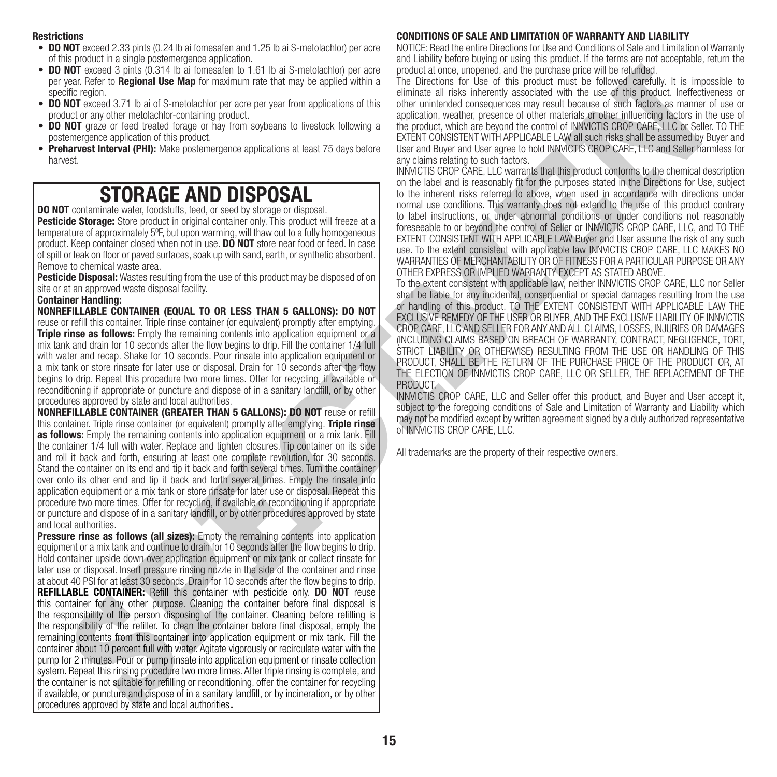#### Restrictions

- **DO NOT** exceed 2.33 pints (0.24 lb ai fomesafen and 1.25 lb ai S-metolachlor) per acre of this product in a single postemergence application.
- **DO NOT** exceed 3 pints (0.314 lb ai fomesafen to 1.61 lb ai S-metolachlor) per acre per year. Refer to **Regional Use Map** for maximum rate that may be applied within a specific region.
- **DO NOT** exceed 3.71 lb ai of S-metolachlor per acre per year from applications of this product or any other metolachlor-containing product.
- **DO NOT** graze or feed treated forage or hay from soybeans to livestock following a postemergence application of this product.
- Preharvest Interval (PHI): Make postemergence applications at least 75 days before harvest.

# **STORAGE AND DISPOSAL**<br>DO NOT contaminate water, foodstuffs, feed, or seed by storage or disposal.

Pesticide Storage: Store product in original container only. This product will freeze at a temperature of approximately 5ºF, but upon warming, will thaw out to a fully homogeneous product. Keep container closed when not in use. DO NOT store near food or feed. In case of spill or leak on floor or paved surfaces, soak up with sand, earth, or synthetic absorbent. Remove to chemical waste area.

**Pesticide Disposal:** Wastes resulting from the use of this product may be disposed of on site or at an approved waste disposal facility.

Container Handling:

NONREFILLABLE CONTAINER (EQUAL TO OR LESS THAN 5 GALLONS): DO NOT reuse or refill this container. Triple rinse container (or equivalent) promptly after emptying. Triple rinse as follows: Empty the remaining contents into application equipment or a mix tank and drain for 10 seconds after the flow begins to drip. Fill the container 1/4 full with water and recap. Shake for 10 seconds. Pour rinsate into application equipment or a mix tank or store rinsate for later use or disposal. Drain for 10 seconds after the flow begins to drip. Repeat this procedure two more times. Offer for recycling, if available or reconditioning if appropriate or puncture and dispose of in a sanitary landfill, or by other procedures approved by state and local authorities.

NONREFILLABLE CONTAINER (GREATER THAN 5 GALLONS): DO NOT reuse or refill this container. Triple rinse container (or equivalent) promptly after emptying. Triple rinse as follows: Empty the remaining contents into application equipment or a mix tank. Fill the container 1/4 full with water. Replace and tighten closures. Tip container on its side and roll it back and forth, ensuring at least one complete revolution, for 30 seconds. Stand the container on its end and tip it back and forth several times. Turn the container over onto its other end and tip it back and forth several times. Empty the rinsate into application equipment or a mix tank or store rinsate for later use or disposal. Repeat this procedure two more times. Offer for recycling, if available or reconditioning if appropriate or puncture and dispose of in a sanitary landfill, or by other procedures approved by state and local authorities.

**Pressure rinse as follows (all sizes):** Empty the remaining contents into application equipment or a mix tank and continue to drain for 10 seconds after the flow begins to drip. Hold container upside down over application equipment or mix tank or collect rinsate for later use or disposal. Insert pressure rinsing nozzle in the side of the container and rinse at about 40 PSI for at least 30 seconds. Drain for 10 seconds after the flow begins to drip. **REFILLABLE CONTAINER:** Refill this container with pesticide only. DO NOT reuse this container for any other purpose. Cleaning the container before final disposal is the responsibility of the person disposing of the container. Cleaning before refilling is the responsibility of the refiller. To clean the container before final disposal, empty the remaining contents from this container into application equipment or mix tank. Fill the container about 10 percent full with water. Agitate vigorously or recirculate water with the pump for 2 minutes. Pour or pump rinsate into application equipment or rinsate collection system. Repeat this rinsing procedure two more times. After triple rinsing is complete, and the container is not suitable for refilling or reconditioning, offer the container for recycling if available, or puncture and dispose of in a sanitary landfill, or by incineration, or by other procedures approved by state and local authorities. We have a strength of the the meaning of the second and the second and the interest of the second and the second and the second and the second and the second and the second and the second and the second and the second and

#### CONDITIONS OF SALE AND LIMITATION OF WARRANTY AND LIABILITY

NOTICE: Read the entire Directions for Use and Conditions of Sale and Limitation of Warranty and Liability before buying or using this product. If the terms are not acceptable, return the product at once, unopened, and the purchase price will be refunded.

The Directions for Use of this product must be followed carefully. It is impossible to eliminate all risks inherently associated with the use of this product. Ineffectiveness or other unintended consequences may result because of such factors as manner of use or application, weather, presence of other materials or other influencing factors in the use of the product, which are beyond the control of INNVICTIS CROP CARE, LLC or Seller. TO THE EXTENT CONSISTENT WITH APPLICABLE LAW all such risks shall be assumed by Buyer and User and Buyer and User agree to hold INNVICTIS CROP CARE, LLC and Seller harmless for any claims relating to such factors.

INNVICTIS CROP CARE, LLC warrants that this product conforms to the chemical description on the label and is reasonably fit for the purposes stated in the Directions for Use, subject to the inherent risks referred to above, when used in accordance with directions under normal use conditions. This warranty does not extend to the use of this product contrary to label instructions, or under abnormal conditions or under conditions not reasonably foreseeable to or beyond the control of Seller or INNVICTIS CROP CARE, LLC, and TO THE EXTENT CONSISTENT WITH APPLICABLE LAW Buyer and User assume the risk of any such use. To the extent consistent with applicable law INNVICTIS CROP CARE, LLC MAKES NO WARRANTIES OF MERCHANTABILITY OR OF FITNESS FOR A PARTICULAR PURPOSE OR ANY OTHER EXPRESS OR IMPLIED WARRANTY EXCEPT AS STATED ABOVE.

To the extent consistent with applicable law, neither INNVICTIS CROP CARE, LLC nor Seller shall be liable for any incidental, consequential or special damages resulting from the use or handling of this product. TO THE EXTENT CONSISTENT WITH APPLICABLE LAW THE EXCLUSIVE REMEDY OF THE USER OR BUYER, AND THE EXCLUSIVE LIABILITY OF INNVICTIS CROP CARE, LLC AND SELLER FOR ANY AND ALL CLAIMS, LOSSES, INJURIES OR DAMAGES (INCLUDING CLAIMS BASED ON BREACH OF WARRANTY, CONTRACT, NEGLIGENCE, TORT, STRICT LIABILITY OR OTHERWISE) RESULTING FROM THE USE OR HANDLING OF THIS PRODUCT, SHALL BE THE RETURN OF THE PURCHASE PRICE OF THE PRODUCT OR, AT THE ELECTION OF INNVICTIS CROP CARE, LLC OR SELLER, THE REPLACEMENT OF THE PRODUCT.

INNVICTIS CROP CARE, LLC and Seller offer this product, and Buyer and User accept it, subject to the foregoing conditions of Sale and Limitation of Warranty and Liability which may not be modified except by written agreement signed by a duly authorized representative of INNVICTIS CROP CARE, LLC.

All trademarks are the property of their respective owners.